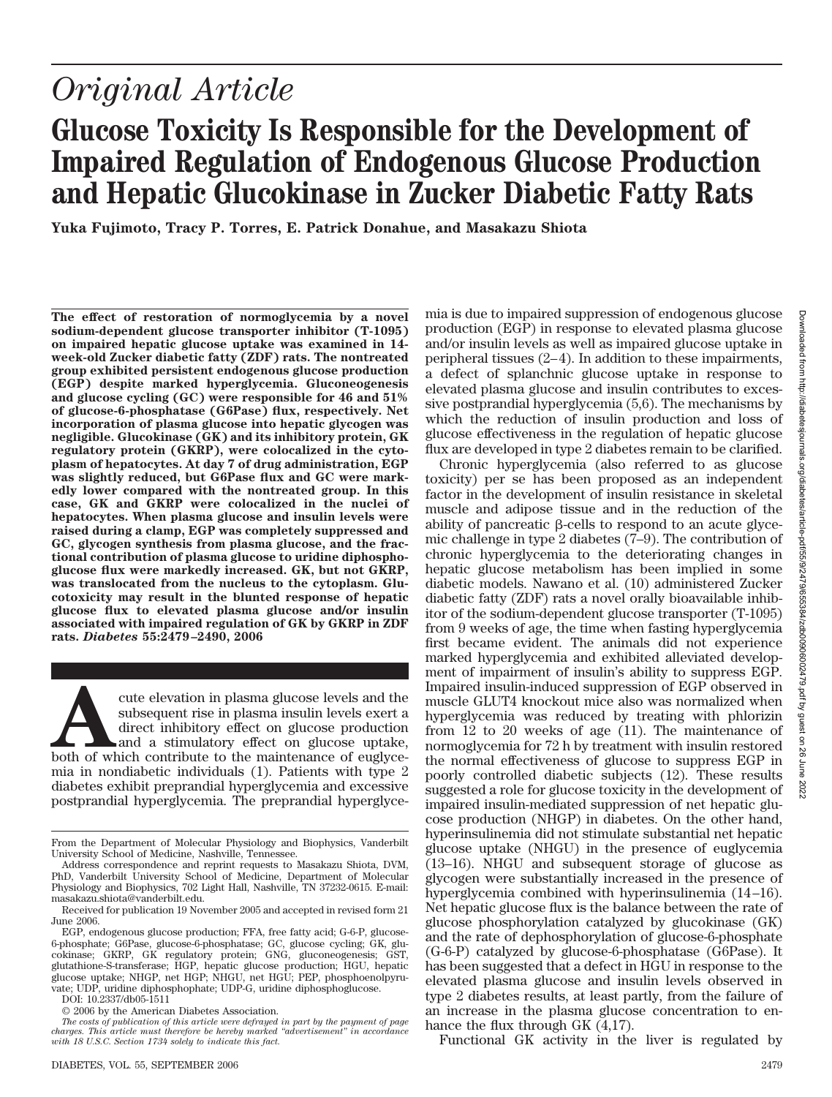# **Glucose Toxicity Is Responsible for the Development of Impaired Regulation of Endogenous Glucose Production and Hepatic Glucokinase in Zucker Diabetic Fatty Rats**

**Yuka Fujimoto, Tracy P. Torres, E. Patrick Donahue, and Masakazu Shiota**

**The effect of restoration of normoglycemia by a novel sodium-dependent glucose transporter inhibitor (T-1095) on impaired hepatic glucose uptake was examined in 14 week-old Zucker diabetic fatty (ZDF) rats. The nontreated group exhibited persistent endogenous glucose production (EGP) despite marked hyperglycemia. Gluconeogenesis and glucose cycling (GC) were responsible for 46 and 51% of glucose-6-phosphatase (G6Pase) flux, respectively. Net incorporation of plasma glucose into hepatic glycogen was negligible. Glucokinase (GK) and its inhibitory protein, GK regulatory protein (GKRP), were colocalized in the cytoplasm of hepatocytes. At day 7 of drug administration, EGP was slightly reduced, but G6Pase flux and GC were markedly lower compared with the nontreated group. In this case, GK and GKRP were colocalized in the nuclei of hepatocytes. When plasma glucose and insulin levels were raised during a clamp, EGP was completely suppressed and GC, glycogen synthesis from plasma glucose, and the fractional contribution of plasma glucose to uridine diphosphoglucose flux were markedly increased. GK, but not GKRP, was translocated from the nucleus to the cytoplasm. Glucotoxicity may result in the blunted response of hepatic glucose flux to elevated plasma glucose and/or insulin associated with impaired regulation of GK by GKRP in ZDF rats.** *Diabetes* **55:2479 –2490, 2006**

For the elevation in plasma glucose levels and the subsequent rise in plasma insulin levels exert a direct inhibitory effect on glucose production and a stimulatory effect on glucose uptake, both of which contribute to the subsequent rise in plasma insulin levels exert a direct inhibitory effect on glucose production and a stimulatory effect on glucose uptake, mia in nondiabetic individuals (1). Patients with type 2 diabetes exhibit preprandial hyperglycemia and excessive postprandial hyperglycemia. The preprandial hyperglyce-

DOI: 10.2337/db05-1511

© 2006 by the American Diabetes Association.

mia is due to impaired suppression of endogenous glucose production (EGP) in response to elevated plasma glucose and/or insulin levels as well as impaired glucose uptake in peripheral tissues (2–4). In addition to these impairments, a defect of splanchnic glucose uptake in response to elevated plasma glucose and insulin contributes to excessive postprandial hyperglycemia (5,6). The mechanisms by which the reduction of insulin production and loss of glucose effectiveness in the regulation of hepatic glucose flux are developed in type 2 diabetes remain to be clarified.

Chronic hyperglycemia (also referred to as glucose toxicity) per se has been proposed as an independent factor in the development of insulin resistance in skeletal muscle and adipose tissue and in the reduction of the ability of pancreatic  $\beta$ -cells to respond to an acute glycemic challenge in type 2 diabetes (7–9). The contribution of chronic hyperglycemia to the deteriorating changes in hepatic glucose metabolism has been implied in some diabetic models. Nawano et al. (10) administered Zucker diabetic fatty (ZDF) rats a novel orally bioavailable inhibitor of the sodium-dependent glucose transporter (T-1095) from 9 weeks of age, the time when fasting hyperglycemia first became evident. The animals did not experience marked hyperglycemia and exhibited alleviated development of impairment of insulin's ability to suppress EGP. Impaired insulin-induced suppression of EGP observed in muscle GLUT4 knockout mice also was normalized when hyperglycemia was reduced by treating with phlorizin from 12 to 20 weeks of age (11). The maintenance of normoglycemia for 72 h by treatment with insulin restored the normal effectiveness of glucose to suppress EGP in poorly controlled diabetic subjects (12). These results suggested a role for glucose toxicity in the development of impaired insulin-mediated suppression of net hepatic glucose production (NHGP) in diabetes. On the other hand, hyperinsulinemia did not stimulate substantial net hepatic glucose uptake (NHGU) in the presence of euglycemia (13–16). NHGU and subsequent storage of glucose as glycogen were substantially increased in the presence of hyperglycemia combined with hyperinsulinemia (14–16). Net hepatic glucose flux is the balance between the rate of glucose phosphorylation catalyzed by glucokinase (GK) and the rate of dephosphorylation of glucose-6-phosphate (G-6-P) catalyzed by glucose-6-phosphatase (G6Pase). It has been suggested that a defect in HGU in response to the elevated plasma glucose and insulin levels observed in type 2 diabetes results, at least partly, from the failure of an increase in the plasma glucose concentration to enhance the flux through GK (4,17).

Functional GK activity in the liver is regulated by

From the Department of Molecular Physiology and Biophysics, Vanderbilt University School of Medicine, Nashville, Tennessee.

Address correspondence and reprint requests to Masakazu Shiota, DVM, PhD, Vanderbilt University School of Medicine, Department of Molecular Physiology and Biophysics, 702 Light Hall, Nashville, TN 37232-0615. E-mail: masakazu.shiota@vanderbilt.edu.

Received for publication 19 November 2005 and accepted in revised form 21 June 2006.

EGP, endogenous glucose production; FFA, free fatty acid; G-6-P, glucose-6-phosphate; G6Pase, glucose-6-phosphatase; GC, glucose cycling; GK, glucokinase; GKRP, GK regulatory protein; GNG, gluconeogenesis; GST, glutathione-S-transferase; HGP, hepatic glucose production; HGU, hepatic glucose uptake; NHGP, net HGP; NHGU, net HGU; PEP, phosphoenolpyruvate; UDP, uridine diphosphophate; UDP-G, uridine diphosphoglucose.

*The costs of publication of this article were defrayed in part by the payment of page charges. This article must therefore be hereby marked "advertisement" in accordance with 18 U.S.C. Section 1734 solely to indicate this fact.*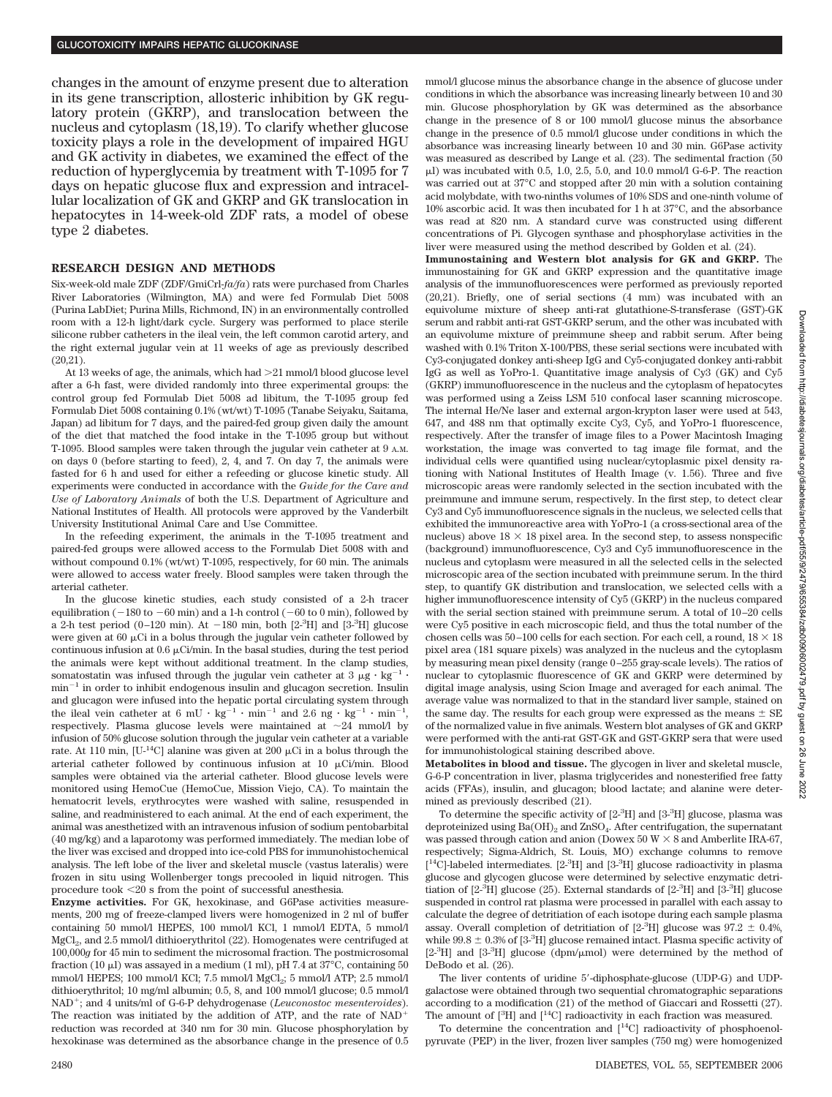changes in the amount of enzyme present due to alteration in its gene transcription, allosteric inhibition by GK regulatory protein (GKRP), and translocation between the nucleus and cytoplasm (18,19). To clarify whether glucose toxicity plays a role in the development of impaired HGU and GK activity in diabetes, we examined the effect of the reduction of hyperglycemia by treatment with T-1095 for 7 days on hepatic glucose flux and expression and intracellular localization of GK and GKRP and GK translocation in hepatocytes in 14-week-old ZDF rats, a model of obese type 2 diabetes.

#### **RESEARCH DESIGN AND METHODS**

Six-week-old male ZDF (ZDF/GmiCrl-*fa/fa*) rats were purchased from Charles River Laboratories (Wilmington, MA) and were fed Formulab Diet 5008 (Purina LabDiet; Purina Mills, Richmond, IN) in an environmentally controlled room with a 12-h light/dark cycle. Surgery was performed to place sterile silicone rubber catheters in the ileal vein, the left common carotid artery, and the right external jugular vein at 11 weeks of age as previously described (20,21).

At 13 weeks of age, the animals, which had >21 mmol/l blood glucose level after a 6-h fast, were divided randomly into three experimental groups: the control group fed Formulab Diet 5008 ad libitum, the T-1095 group fed Formulab Diet 5008 containing 0.1% (wt/wt) T-1095 (Tanabe Seiyaku, Saitama, Japan) ad libitum for 7 days, and the paired-fed group given daily the amount of the diet that matched the food intake in the T-1095 group but without T-1095. Blood samples were taken through the jugular vein catheter at 9 A.M. on days 0 (before starting to feed), 2, 4, and 7. On day 7, the animals were fasted for 6 h and used for either a refeeding or glucose kinetic study. All experiments were conducted in accordance with the *Guide for the Care and Use of Laboratory Animals* of both the U.S. Department of Agriculture and National Institutes of Health. All protocols were approved by the Vanderbilt University Institutional Animal Care and Use Committee.

In the refeeding experiment, the animals in the T-1095 treatment and paired-fed groups were allowed access to the Formulab Diet 5008 with and without compound 0.1% (wt/wt) T-1095, respectively, for 60 min. The animals were allowed to access water freely. Blood samples were taken through the arterial catheter.

In the glucose kinetic studies, each study consisted of a 2-h tracer equilibration ( $-180$  to  $-60$  min) and a 1-h control ( $-60$  to 0 min), followed by a 2-h test period (0-120 min). At  $-180$  min, both  $[2<sup>3</sup>H]$  and  $[3<sup>3</sup>H]$  glucose were given at  $60 \mu$ Ci in a bolus through the jugular vein catheter followed by continuous infusion at  $0.6 \mu\text{Ci/min}$ . In the basal studies, during the test period the animals were kept without additional treatment. In the clamp studies, somatostatin was infused through the jugular vein catheter at  $3 \mu g \cdot kg^{-1}$ .  $min^{-1}$  in order to inhibit endogenous insulin and glucagon secretion. Insulin and glucagon were infused into the hepatic portal circulating system through the ileal vein catheter at 6 mU  $\cdot$  kg<sup>-1</sup>  $\cdot$  min<sup>-1</sup> and 2.6 ng  $\cdot$  kg<sup>-1</sup>  $\cdot$  min<sup>-1</sup>, respectively. Plasma glucose levels were maintained at  $\sim$ 24 mmol/l by infusion of 50% glucose solution through the jugular vein catheter at a variable rate. At 110 min, [U-<sup>14</sup>C] alanine was given at 200  $\mu$ Ci in a bolus through the arterial catheter followed by continuous infusion at 10  $\mu$ Ci/min. Blood samples were obtained via the arterial catheter. Blood glucose levels were monitored using HemoCue (HemoCue, Mission Viejo, CA). To maintain the hematocrit levels, erythrocytes were washed with saline, resuspended in saline, and readministered to each animal. At the end of each experiment, the animal was anesthetized with an intravenous infusion of sodium pentobarbital (40 mg/kg) and a laparotomy was performed immediately. The median lobe of the liver was excised and dropped into ice-cold PBS for immunohistochemical analysis. The left lobe of the liver and skeletal muscle (vastus lateralis) were frozen in situ using Wollenberger tongs precooled in liquid nitrogen. This procedure took  $<\!\!20$  s from the point of successful anesthesia.

**Enzyme activities.** For GK, hexokinase, and G6Pase activities measurements, 200 mg of freeze-clamped livers were homogenized in 2 ml of buffer containing 50 mmol/l HEPES, 100 mmol/l KCl, 1 mmol/l EDTA, 5 mmol/l MgCl<sub>2</sub>, and 2.5 mmol/l dithioerythritol (22). Homogenates were centrifuged at 100,000*g* for 45 min to sediment the microsomal fraction. The postmicrosomal fraction (10  $\mu$ I) was assayed in a medium (1 ml), pH 7.4 at 37 $^{\circ}$ C, containing 50 mmol/l HEPES; 100 mmol/l KCl; 7.5 mmol/l  $MgCl<sub>2</sub>$ ; 5 mmol/l ATP; 2.5 mmol/l dithioerythritol; 10 mg/ml albumin; 0.5, 8, and 100 mmol/l glucose; 0.5 mmol/l NAD<sup>+</sup>; and 4 units/ml of G-6-P dehydrogenase (*Leuconostoc mesenteroides*). The reaction was initiated by the addition of ATP, and the rate of NAD reduction was recorded at 340 nm for 30 min. Glucose phosphorylation by hexokinase was determined as the absorbance change in the presence of 0.5

mmol/l glucose minus the absorbance change in the absence of glucose under conditions in which the absorbance was increasing linearly between 10 and 30 min. Glucose phosphorylation by GK was determined as the absorbance change in the presence of 8 or 100 mmol/l glucose minus the absorbance change in the presence of 0.5 mmol/l glucose under conditions in which the absorbance was increasing linearly between 10 and 30 min. G6Pase activity was measured as described by Lange et al. (23). The sedimental fraction (50  $\mu$ ) was incubated with 0.5, 1.0, 2.5, 5.0, and 10.0 mmol/l G-6-P. The reaction was carried out at 37°C and stopped after 20 min with a solution containing acid molybdate, with two-ninths volumes of 10% SDS and one-ninth volume of 10% ascorbic acid. It was then incubated for 1 h at 37°C, and the absorbance was read at 820 nm. A standard curve was constructed using different concentrations of Pi. Glycogen synthase and phosphorylase activities in the liver were measured using the method described by Golden et al. (24).

**Immunostaining and Western blot analysis for GK and GKRP.** The immunostaining for GK and GKRP expression and the quantitative image analysis of the immunofluorescences were performed as previously reported (20,21). Briefly, one of serial sections (4 mm) was incubated with an equivolume mixture of sheep anti-rat glutathione-S-transferase (GST)-GK serum and rabbit anti-rat GST-GKRP serum, and the other was incubated with an equivolume mixture of preimmune sheep and rabbit serum. After being washed with 0.1% Triton X-100/PBS, these serial sections were incubated with Cy3-conjugated donkey anti-sheep IgG and Cy5-conjugated donkey anti-rabbit IgG as well as YoPro-1. Quantitative image analysis of Cy3 (GK) and Cy5 (GKRP) immunofluorescence in the nucleus and the cytoplasm of hepatocytes was performed using a Zeiss LSM 510 confocal laser scanning microscope. The internal He/Ne laser and external argon-krypton laser were used at 543, 647, and 488 nm that optimally excite Cy3, Cy5, and YoPro-1 fluorescence, respectively. After the transfer of image files to a Power Macintosh Imaging workstation, the image was converted to tag image file format, and the individual cells were quantified using nuclear/cytoplasmic pixel density rationing with National Institutes of Health Image (v. 1.56). Three and five microscopic areas were randomly selected in the section incubated with the preimmune and immune serum, respectively. In the first step, to detect clear Cy3 and Cy5 immunofluorescence signals in the nucleus, we selected cells that exhibited the immunoreactive area with YoPro-1 (a cross-sectional area of the nucleus) above  $18 \times 18$  pixel area. In the second step, to assess nonspecific (background) immunofluorescence, Cy3 and Cy5 immunofluorescence in the nucleus and cytoplasm were measured in all the selected cells in the selected microscopic area of the section incubated with preimmune serum. In the third step, to quantify GK distribution and translocation, we selected cells with a higher immunofluorescence intensity of Cy5 (GKRP) in the nucleus compared with the serial section stained with preimmune serum. A total of 10–20 cells were Cy5 positive in each microscopic field, and thus the total number of the chosen cells was  $50-100$  cells for each section. For each cell, a round,  $18 \times 18$ pixel area (181 square pixels) was analyzed in the nucleus and the cytoplasm by measuring mean pixel density (range 0–255 gray-scale levels). The ratios of nuclear to cytoplasmic fluorescence of GK and GKRP were determined by digital image analysis, using Scion Image and averaged for each animal. The average value was normalized to that in the standard liver sample, stained on the same day. The results for each group were expressed as the means  $\pm$  SE of the normalized value in five animals. Western blot analyses of GK and GKRP were performed with the anti-rat GST-GK and GST-GKRP sera that were used for immunohistological staining described above.

**Metabolites in blood and tissue.** The glycogen in liver and skeletal muscle, G-6-P concentration in liver, plasma triglycerides and nonesterified free fatty acids (FFAs), insulin, and glucagon; blood lactate; and alanine were determined as previously described (21).

To determine the specific activity of  $[2<sup>3</sup>H]$  and  $[3<sup>3</sup>H]$  glucose, plasma was deproteinized using  $Ba(OH)_{2}$  and  $ZnSO_{4}$ . After centrifugation, the supernatant was passed through cation and anion (Dowex 50 W  $\times$  8 and Amberlite IRA-67, respectively; Sigma-Aldrich, St. Louis, MO) exchange columns to remove [<sup>14</sup>C]-labeled intermediates. [2<sup>\_3</sup>H] and [3<sup>\_3</sup>H] glucose radioactivity in plasma glucose and glycogen glucose were determined by selective enzymatic detritiation of [2<sup>-3</sup>H] glucose (25). External standards of [2<sup>-3</sup>H] and [3<sup>-3</sup>H] glucose suspended in control rat plasma were processed in parallel with each assay to calculate the degree of detritiation of each isotope during each sample plasma assay. Overall completion of detritiation of  $[2\textsuperscript{-3}H]$  glucose was  $97.2 \pm 0.4\%$ , while  $99.8 \pm 0.3$ % of  $[3.3]$  glucose remained intact. Plasma specific activity of  $[2<sup>3</sup>H]$  and  $[3<sup>3</sup>H]$  glucose (dpm/ $\mu$ mol) were determined by the method of DeBodo et al. (26).

The liver contents of uridine 5 -diphosphate-glucose (UDP-G) and UDPgalactose were obtained through two sequential chromatographic separations according to a modification (21) of the method of Giaccari and Rossetti (27). The amount of  $[{}^{3}H]$  and  $[{}^{14}C]$  radioactivity in each fraction was measured.

To determine the concentration and  $[$ <sup>14</sup>C] radioactivity of phosphoenolpyruvate (PEP) in the liver, frozen liver samples (750 mg) were homogenized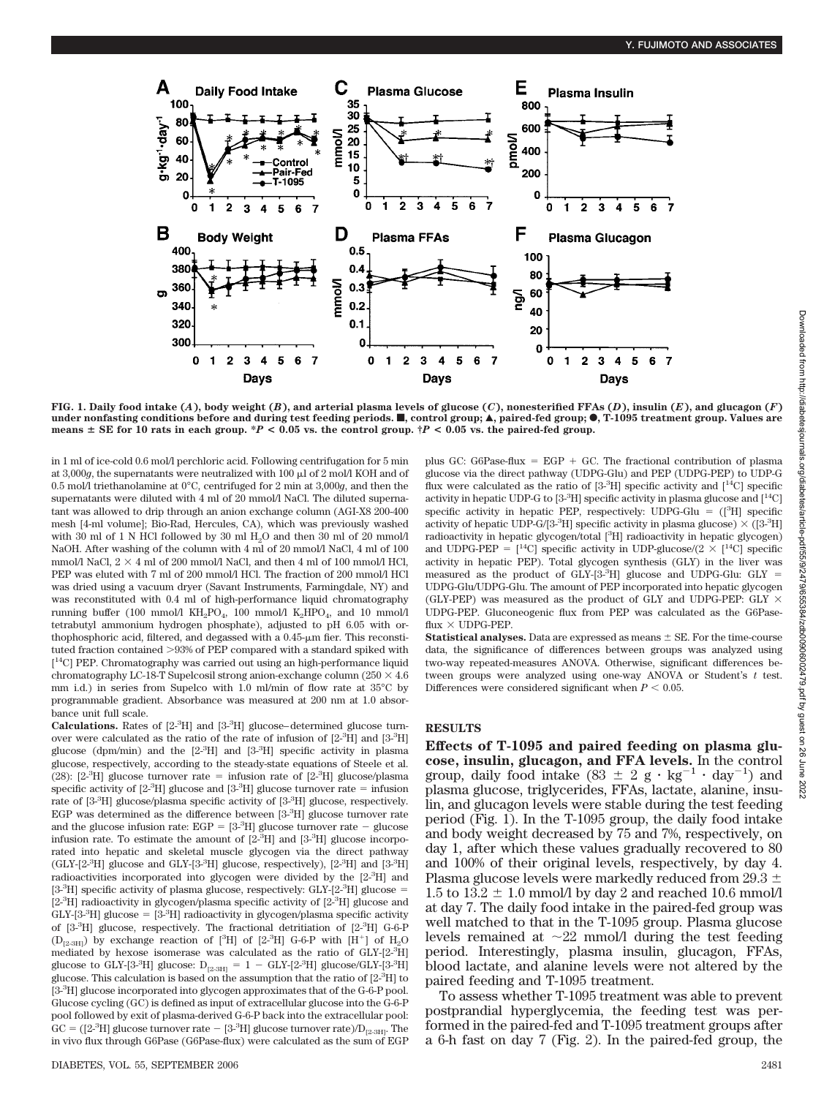

FIG. 1. Daily food intake (A), body weight (B), and arterial plasma levels of glucose (C), nonesterified FFAs (D), insulin (E), and glucagon (F) under nonfasting conditions before and during test feeding periods. ■, control group; ▲, paired-fed group; ●, T-1095 treatment group. Values are **means**  $\pm$  SE for 10 rats in each group. \**P* < 0.05 vs. the control group. \**P* < 0.05 vs. the paired-fed group.

in 1 ml of ice-cold 0.6 mol/l perchloric acid. Following centrifugation for 5 min at 3,000*g*, the supernatants were neutralized with 100  $\mu$ l of 2 mol/l KOH and of 0.5 mol/l triethanolamine at 0°C, centrifuged for 2 min at 3,000*g*, and then the supernatants were diluted with 4 ml of 20 mmol/l NaCl. The diluted supernatant was allowed to drip through an anion exchange column (AGI-X8 200-400 mesh [4-ml volume]; Bio-Rad, Hercules, CA), which was previously washed with 30 ml of 1 N HCl followed by 30 ml H<sub>2</sub>O and then 30 ml of 20 mmol/l NaOH. After washing of the column with 4 ml of 20 mmol/l NaCl, 4 ml of 100 mmol/l NaCl,  $2 \times 4$  ml of 200 mmol/l NaCl, and then 4 ml of 100 mmol/l HCl, PEP was eluted with 7 ml of 200 mmol/l HCl. The fraction of 200 mmol/l HCl was dried using a vacuum dryer (Savant Instruments, Farmingdale, NY) and was reconstituted with 0.4 ml of high-performance liquid chromatography running buffer (100 mmol/l  $KH_2PO_4$ , 100 mmol/l  $K_2HPO_4$ , and 10 mmol/l tetrabutyl ammonium hydrogen phosphate), adjusted to pH 6.05 with orthophosphoric acid, filtered, and degassed with a  $0.45$ - $\mu$ m fier. This reconstituted fraction contained >93% of PEP compared with a standard spiked with [<sup>14</sup>C] PEP. Chromatography was carried out using an high-performance liquid chromatography LC-18-T Supelcosil strong anion-exchange column ( $250 \times 4.6$ mm i.d.) in series from Supelco with 1.0 ml/min of flow rate at 35°C by programmable gradient. Absorbance was measured at 200 nm at 1.0 absorbance unit full scale.

Calculations. Rates of  $[2^{-3}H]$  and  $[3^{-3}H]$  glucose-determined glucose turnover were calculated as the ratio of the rate of infusion of  $[2^{3}H]$  and  $[3^{3}H]$ glucose (dpm/min) and the [2-<sup>3</sup> H] and [3-3 H] specific activity in plasma glucose, respectively, according to the steady-state equations of Steele et al. (28):  $[2^{-3}H]$  glucose turnover rate = infusion rate of  $[2^{-3}H]$  glucose/plasma specific activity of  $[2<sup>3</sup>H]$  glucose and  $[3<sup>3</sup>H]$  glucose turnover rate = infusion rate of [3<sup>-3</sup>H] glucose/plasma specific activity of [3<sup>-3</sup>H] glucose, respectively. EGP was determined as the difference between [3-3H] glucose turnover rate and the glucose infusion rate:  $EGP = [3<sup>3</sup>H]$  glucose turnover rate  $-$  glucose infusion rate. To estimate the amount of [2-<sup>3</sup> H] and [3-<sup>3</sup> H] glucose incorporated into hepatic and skeletal muscle glycogen via the direct pathway (GLY-[2<sup>-3</sup>H] glucose and GLY-[3<sup>-3</sup>H] glucose, respectively), [2<sup>-3</sup>H] and [3<sup>-3</sup>H] radioactivities incorporated into glycogen were divided by the [2-3H] and [3<sup>-3</sup>H] specific activity of plasma glucose, respectively: GLY-[2<sup>-3</sup>H] glucose = [2<sup>.3</sup>H] radioactivity in glycogen/plasma specific activity of [2<sup>.3</sup>H] glucose and  $GLY-[3<sup>3</sup>H]$  glucose =  $[3<sup>3</sup>H]$  radioactivity in glycogen/plasma specific activity of [3-<sup>3</sup> H] glucose, respectively. The fractional detritiation of [2-<sup>3</sup> H] G-6-P (D<sub>[2-3H]</sub>) by exchange reaction of [<sup>3</sup>H] of [2-<sup>3</sup>H] G-6-P with [H<sup>+</sup>] of H<sub>2</sub>O mediated by hexose isomerase was calculated as the ratio of GLY-[2-3H] glucose to GLY-[3-<sup>3</sup>H] glucose:  $D_{[2\text{-}3\text{H}]} = 1 - GLY$ -[2-<sup>3</sup>H] glucose/GLY-[3-<sup>3</sup>H] glucose. This calculation is based on the assumption that the ratio of [2-<sup>3</sup> H] to [3<sup>.3</sup>H] glucose incorporated into glycogen approximates that of the G-6-P pool. Glucose cycling (GC) is defined as input of extracellular glucose into the G-6-P pool followed by exit of plasma-derived G-6-P back into the extracellular pool:  $GC = ([2-3H]$  glucose turnover rate  $-$  [3-<sup>3</sup>H] glucose turnover rate)/ $D_{[2-3H]}$ . The in vivo flux through G6Pase (G6Pase-flux) were calculated as the sum of EGP plus GC: G6Pase-flux  $=$  EGP  $+$  GC. The fractional contribution of plasma glucose via the direct pathway (UDPG-Glu) and PEP (UDPG-PEP) to UDP-G flux were calculated as the ratio of  $[3\text{-}^{3}H]$  specific activity and  $[14C]$  specific activity in hepatic UDP-G to  $[3\text{-}^{3}H]$  specific activity in plasma glucose and  $[14C]$ specific activity in hepatic PEP, respectively:  $UDPG-Glu = ([<sup>3</sup>H])$  specific activity of hepatic UDP-G/[3-<sup>3</sup>H] specific activity in plasma glucose)  $\times$  ([3-<sup>3</sup>H] radioactivity in hepatic glycogen/total [<sup>3</sup>H] radioactivity in hepatic glycogen) and UDPG-PEP =  $[$ <sup>14</sup>C] specific activity in UDP-glucose/(2  $\times$   $[$ <sup>14</sup>C] specific activity in hepatic PEP). Total glycogen synthesis (GLY) in the liver was measured as the product of  $GLY- [3^3H]$  glucose and UDPG-Glu:  $GLY =$ UDPG-Glu/UDPG-Glu. The amount of PEP incorporated into hepatic glycogen (GLY-PEP) was measured as the product of GLY and UDPG-PEP: GLY  $\times$ UDPG-PEP. Gluconeogenic flux from PEP was calculated as the G6Pase $flux \times UDPG-PEP$ .

**Statistical analyses.** Data are expressed as means  $\pm$  SE. For the time-course data, the significance of differences between groups was analyzed using two-way repeated-measures ANOVA. Otherwise, significant differences between groups were analyzed using one-way ANOVA or Student's *t* test. Differences were considered significant when  $P < 0.05$ .

#### **RESULTS**

**Effects of T-1095 and paired feeding on plasma glucose, insulin, glucagon, and FFA levels.** In the control group, daily food intake  $(83 \pm 2 \text{ g} \cdot \text{kg}^{-1} \cdot \text{day}^{-1})$  and plasma glucose, triglycerides, FFAs, lactate, alanine, insulin, and glucagon levels were stable during the test feeding period (Fig. 1). In the T-1095 group, the daily food intake and body weight decreased by 75 and 7%, respectively, on day 1, after which these values gradually recovered to 80 and 100% of their original levels, respectively, by day 4. Plasma glucose levels were markedly reduced from 29.3  $\pm$ 1.5 to 13.2  $\pm$  1.0 mmol/l by day 2 and reached 10.6 mmol/l at day 7. The daily food intake in the paired-fed group was well matched to that in the T-1095 group. Plasma glucose levels remained at  $\sim 22$  mmol/l during the test feeding period. Interestingly, plasma insulin, glucagon, FFAs, blood lactate, and alanine levels were not altered by the paired feeding and T-1095 treatment.

To assess whether T-1095 treatment was able to prevent postprandial hyperglycemia, the feeding test was performed in the paired-fed and T-1095 treatment groups after a 6-h fast on day 7 (Fig. 2). In the paired-fed group, the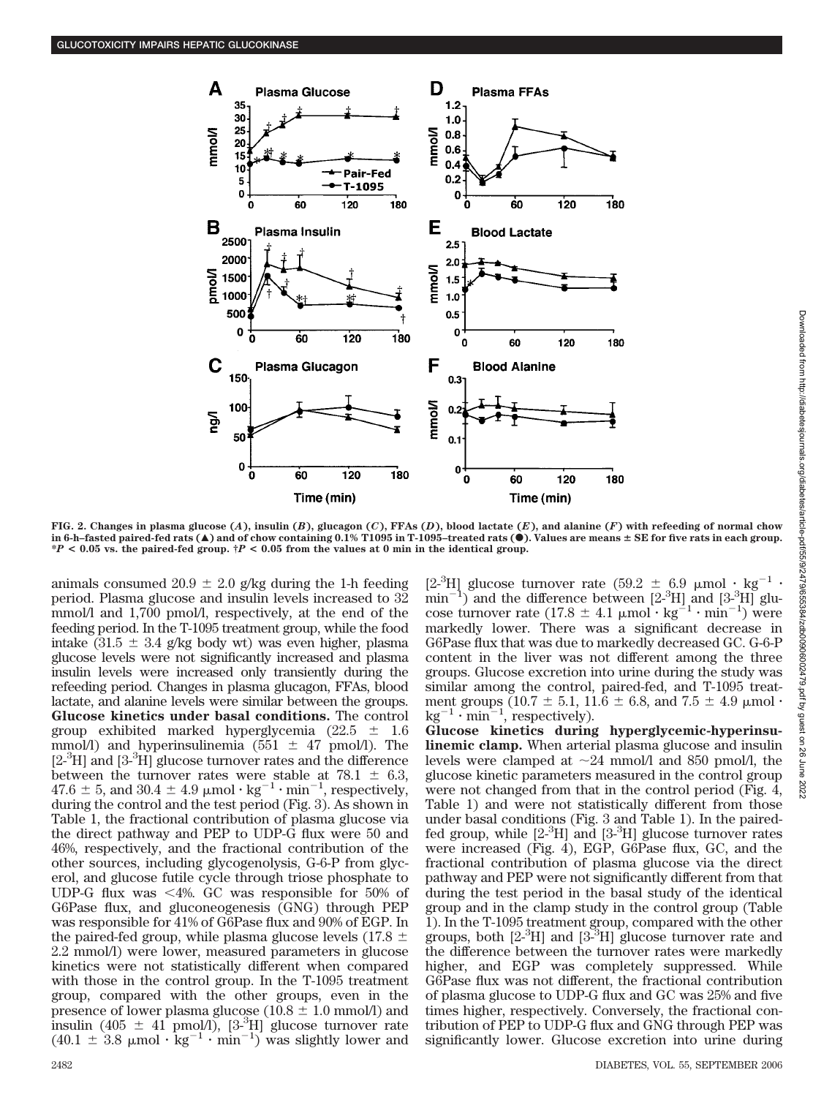

FIG. 2. Changes in plasma glucose (A), insulin (B), glucagon (C), FFAs (D), blood lactate (E), and alanine (F) with refeeding of normal chow **in 6-h–fasted paired-fed rats (**Œ**) and of chow containing 0.1% T1095 in T-1095–treated rats (**F**). Values are means SE for five rats in each group. \****P* **< 0.05 vs. the paired-fed group. †***P* **< 0.05 from the values at 0 min in the identical group.**

animals consumed 20.9  $\pm$  2.0 g/kg during the 1-h feeding period. Plasma glucose and insulin levels increased to 32 mmol/l and 1,700 pmol/l, respectively, at the end of the feeding period. In the T-1095 treatment group, while the food intake  $(31.5 \pm 3.4 \text{ g/kg}$  body wt) was even higher, plasma glucose levels were not significantly increased and plasma insulin levels were increased only transiently during the refeeding period. Changes in plasma glucagon, FFAs, blood lactate, and alanine levels were similar between the groups. **Glucose kinetics under basal conditions.** The control group exhibited marked hyperglycemia (22.5  $\pm$  1.6 mmol/l) and hyperinsulinemia (551  $\pm$  47 pmol/l). The [2<sup>-3</sup>H] and [3<sup>-3</sup>H] glucose turnover rates and the difference between the turnover rates were stable at  $78.1 \pm 6.3$ ,  $47.6 \pm 5$ , and  $30.4 \pm 4.9 \mu$  mol  $\cdot$  kg<sup>-1</sup>  $\cdot$  min<sup>-1</sup>, respectively, during the control and the test period (Fig. 3). As shown in Table 1, the fractional contribution of plasma glucose via the direct pathway and PEP to UDP-G flux were 50 and 46%, respectively, and the fractional contribution of the other sources, including glycogenolysis, G-6-P from glycerol, and glucose futile cycle through triose phosphate to UDP-G flux was  $\leq 4\%$ . GC was responsible for 50% of G6Pase flux, and gluconeogenesis (GNG) through PEP was responsible for 41% of G6Pase flux and 90% of EGP. In the paired-fed group, while plasma glucose levels (17.8  $\pm$ 2.2 mmol/l) were lower, measured parameters in glucose kinetics were not statistically different when compared with those in the control group. In the T-1095 treatment group, compared with the other groups, even in the presence of lower plasma glucose (10.8  $\pm$  1.0 mmol/l) and insulin (405  $\pm$  41 pmol/l), [3<sup>-3</sup>H] glucose turnover rate  $(40.1 \pm 3.8 \mu mol \cdot kg^{-1} \cdot min^{-1})$  was slightly lower and

[2<sup>-3</sup>H] glucose turnover rate (59.2  $\pm$  6.9 µmol  $\cdot$  kg<sup>-1</sup> ·  $min<sup>-</sup>$ ) and the difference between  $[2^{-3}H]$  and  $[3^{-3}H]$  glucose turnover rate  $(17.8 \pm 4.1 \mu \text{mol} \cdot \text{kg}^{-1} \cdot \text{min}^{-1})$  were markedly lower. There was a significant decrease in G6Pase flux that was due to markedly decreased GC. G-6-P content in the liver was not different among the three groups. Glucose excretion into urine during the study was similar among the control, paired-fed, and T-1095 treatment groups (10.7  $\pm$  5.1, 11.6  $\pm$  6.8, and 7.5  $\pm$  4.9  $\mu$ mol  $\cdot$  $kg^{-1} \cdot min^{-1}$ , respectively).

**Glucose kinetics during hyperglycemic-hyperinsulinemic clamp.** When arterial plasma glucose and insulin levels were clamped at  $\sim$ 24 mmol/l and 850 pmol/l, the glucose kinetic parameters measured in the control group were not changed from that in the control period (Fig. 4, Table 1) and were not statistically different from those under basal conditions (Fig. 3 and Table 1). In the pairedfed group, while [2-3 H] and [3-3 H] glucose turnover rates were increased (Fig. 4), EGP, G6Pase flux, GC, and the fractional contribution of plasma glucose via the direct pathway and PEP were not significantly different from that during the test period in the basal study of the identical group and in the clamp study in the control group (Table 1). In the T-1095 treatment group, compared with the other groups, both  $[2^{3}H]$  and  $[3^{3}H]$  glucose turnover rate and the difference between the turnover rates were markedly higher, and EGP was completely suppressed. While G6Pase flux was not different, the fractional contribution of plasma glucose to UDP-G flux and GC was 25% and five times higher, respectively. Conversely, the fractional contribution of PEP to UDP-G flux and GNG through PEP was significantly lower. Glucose excretion into urine during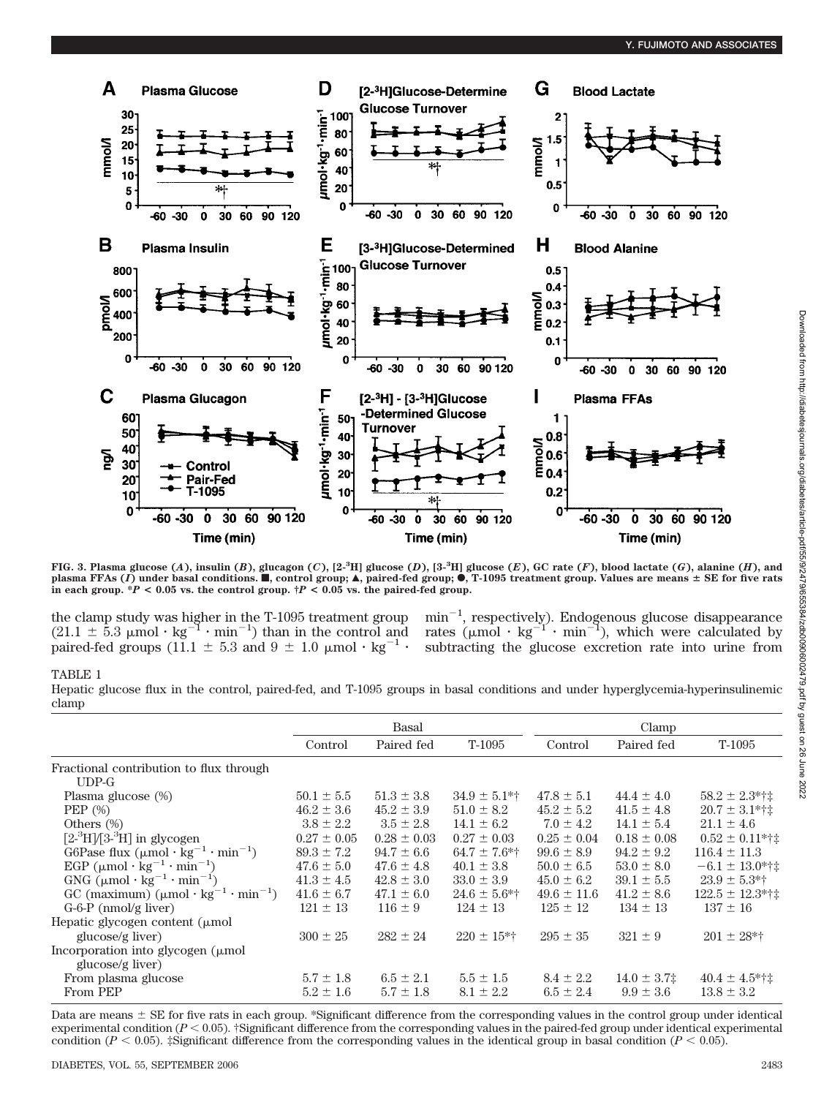

FIG. 3. Plasma glucose (A), insulin (B), glucagon (C),  $[2.3H]$  glucose (D),  $[3.3H]$  glucose (E), GC rate (F), blood lactate (G), alanine (H), and plasma FFAs (*I*) under basal conditions. **I**, control group; **A**, paired-fed group; **O**, T-1095 treatment group. Values are means ± SE for five rats<br>in each group. \*P < 0.05 vs. the control group. †P < 0.05 vs. the paired

 $(21.1 \pm 5.3 \mu mol \cdot kg^{-1} \cdot min^{-1})$  than in the control and rates  $(\mu mol \cdot kg^{-1} \cdot min^{-1})$ , which were calculated by paired-fed groups (11.1  $\pm$  5.3 and 9  $\pm$  1.0  $\mu$ mol  $\cdot$  kg<sup>-1</sup>  $\cdot$ 

the clamp study was higher in the T-1095 treatment group  $min^{-1}$ , respectively). Endogenous glucose disappearance subtracting the glucose excretion rate into urine from

#### TABLE 1

Hepatic glucose flux in the control, paired-fed, and T-1095 groups in basal conditions and under hyperglycemia-hyperinsulinemic clamp

|                                                                            | Basal           |                 |                   | Clamp           |                  |                      |
|----------------------------------------------------------------------------|-----------------|-----------------|-------------------|-----------------|------------------|----------------------|
|                                                                            | Control         | Paired fed      | T-1095            | Control         | Paired fed       | T-1095               |
| Fractional contribution to flux through                                    |                 |                 |                   |                 |                  |                      |
| $UDP-G$                                                                    |                 |                 |                   |                 |                  |                      |
| Plasma glucose (%)                                                         | $50.1 \pm 5.5$  | $51.3 \pm 3.8$  | $34.9 \pm 5.1$ *† | $47.8 \pm 5.1$  | $44.4 \pm 4.0$   | $58.2 \pm 2.3$ *†‡   |
| PEP $(\%)$                                                                 | $46.2 \pm 3.6$  | $45.2 \pm 3.9$  | $51.0 \pm 8.2$    | $45.2 \pm 5.2$  | $41.5 \pm 4.8$   | $20.7 \pm 3.1$ *†‡   |
| Others $(\%)$                                                              | $3.8 \pm 2.2$   | $3.5 \pm 2.8$   | $14.1 \pm 6.2$    | $7.0 \pm 4.2$   | $14.1 \pm 5.4$   | $21.1 \pm 4.6$       |
| $[2^{3}H]/[3^{3}H]$ in glycogen                                            | $0.27 \pm 0.05$ | $0.28 \pm 0.03$ | $0.27 \pm 0.03$   | $0.25 \pm 0.04$ | $0.18 \pm 0.08$  | $0.52 \pm 0.11$ *†‡  |
| G6Pase flux $(\mu \text{mol} \cdot \text{kg}^{-1} \cdot \text{min}^{-1})$  | $89.3 \pm 7.2$  | $94.7 \pm 6.6$  | $64.7 \pm 7.6$ *† | $99.6 \pm 8.9$  | $94.2 \pm 9.2$   | $116.4 \pm 11.3$     |
| EGP $(\mu \text{mol} \cdot \text{kg}^{-1} \cdot \text{min}^{-1})$          | $47.6 \pm 5.0$  | $47.6 \pm 4.8$  | $40.1 \pm 3.8$    | $50.0 \pm 6.5$  | $53.0 \pm 8.0$   | $-6.1 \pm 13.0$ *†‡  |
| GNG $(\mu \text{mol} \cdot \text{kg}^{-1} \cdot \text{min}^{-1})$          | $41.3 \pm 4.5$  | $42.8 \pm 3.0$  | $33.0 \pm 3.9$    | $45.0 \pm 6.2$  | $39.1 \pm 5.5$   | $23.9 \pm 5.3$ *†    |
| GC (maximum) $(\mu \text{mol} \cdot \text{kg}^{-1} \cdot \text{min}^{-1})$ | $41.6 \pm 6.7$  | $47.1 \pm 6.0$  | $24.6 \pm 5.6$ *† | $49.6 \pm 11.6$ | $41.2 \pm 8.6$   | $122.5 \pm 12.3$ *†‡ |
| $G-6-P$ (nmol/g liver)                                                     | $121 \pm 13$    | $116 \pm 9$     | $124 \pm 13$      | $125 \pm 12$    | $134 \pm 13$     | $137 \pm 16$         |
| Hepatic glycogen content $(\mu \text{mol})$                                |                 |                 |                   |                 |                  |                      |
| glucose/g liver)                                                           | $300 \pm 25$    | $282 \pm 24$    | $220 \pm 15$ *†   | $295 \pm 35$    | $321 \pm 9$      | $201 \pm 28$ *†      |
| Incorporation into glycogen $(\mu \text{mol})$                             |                 |                 |                   |                 |                  |                      |
| glucose/g liver)                                                           |                 |                 |                   |                 |                  |                      |
| From plasma glucose                                                        | $5.7 \pm 1.8$   | $6.5 \pm 2.1$   | $5.5 \pm 1.5$     | $8.4 \pm 2.2$   | $14.0 \pm 3.7$ ‡ | $40.4 \pm 4.5$ *†‡   |
| From PEP                                                                   | $5.2 \pm 1.6$   | $5.7 \pm 1.8$   | $8.1 \pm 2.2$     | $6.5 \pm 2.4$   | $9.9 \pm 3.6$    | $13.8 \pm 3.2$       |

Data are means  $\pm$  SE for five rats in each group. \*Significant difference from the corresponding values in the control group under identical experimental condition  $(P < 0.05)$ . †Significant difference from the corresponding values in the paired-fed group under identical experimental condition ( $P < 0.05$ ). ‡Significant difference from the corresponding values in the identical group in basal condition ( $P < 0.05$ ).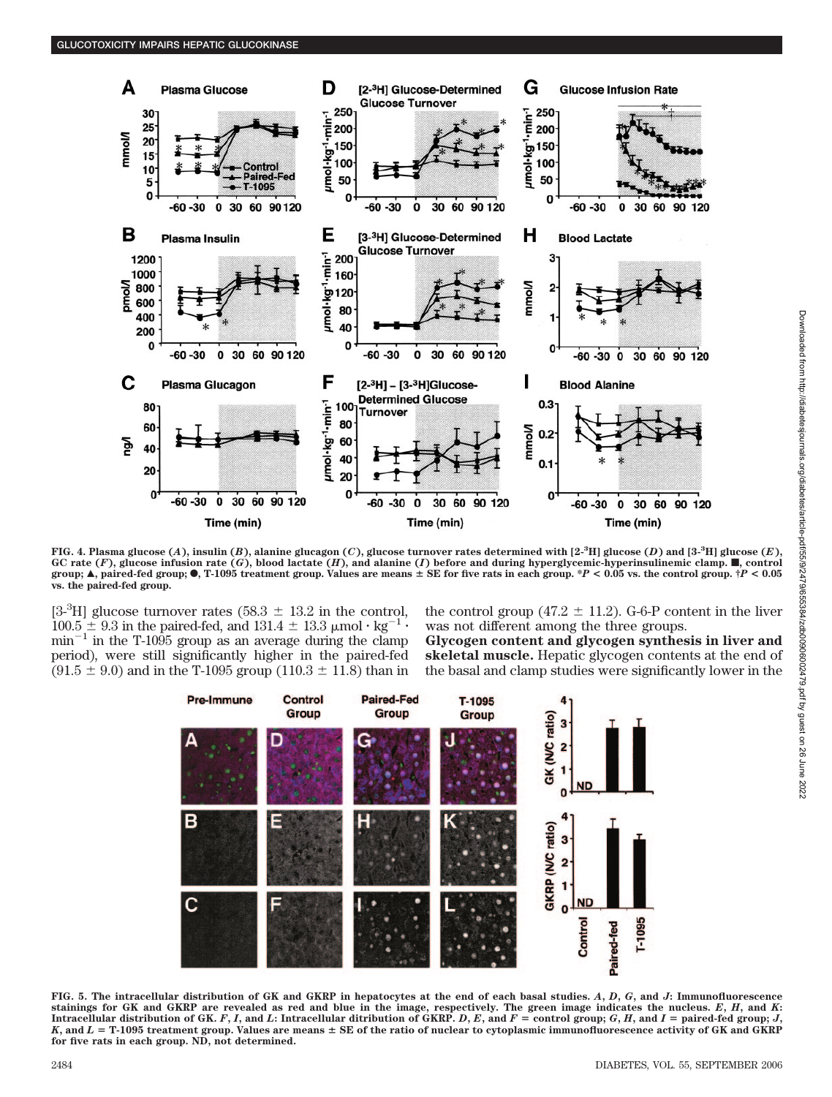

FIG. 4. Plasma glucose (A), insulin (B), alanine glucagon (C), glucose turnover rates determined with [2-<sup>3</sup>H] glucose (D) and [3-<sup>3</sup>H] glucose (E), GC rate  $(F)$ , glucose infusion rate  $(G)$ , blood lactate  $(H)$ , and alanine  $(I)$  before and during hyperglycemic-hyperinsulinemic clamp.  $\blacksquare$ , control **group;**  $\blacktriangle$ , paired-fed group;  $\blacklozenge$ , T-1095 treatment group. Values are means  $\pm$  SE for five rats in each group.  $\frac{p}{P}$  < 0.05 vs. the control group.  $\frac{1}{P}$  < 0.05 **vs. the paired-fed group.**

[3<sup>-3</sup>H] glucose turnover rates (58.3  $\pm$  13.2 in the control,  $100.5 \pm 9.3$  in the paired-fed, and  $131.4 \pm 13.3$  µmol  $\cdot$  kg<sup>-1</sup>  $\cdot$  $min^{-1}$  in the T-1095 group as an average during the clamp period), were still significantly higher in the paired-fed  $(91.5 \pm 9.0)$  and in the T-1095 group (110.3  $\pm$  11.8) than in

the control group (47.2  $\pm$  11.2). G-6-P content in the liver was not different among the three groups.

**Glycogen content and glycogen synthesis in liver and skeletal muscle.** Hepatic glycogen contents at the end of the basal and clamp studies were significantly lower in the



**FIG. 5. The intracellular distribution of GK and GKRP in hepatocytes at the end of each basal studies.** *A***,** *D***,** *G***, and** *J***: Immunofluorescence stainings for GK and GKRP are revealed as red and blue in the image, respectively. The green image indicates the nucleus.** *E***,** *H***, and** *K***:** Intracellular distribution of GK. F, I, and L: Intracellular ditribution of GKRP. D, E, and  $F =$  control group; G, H, and I = paired-fed group; J, *K***, and** *L* - **T-1095 treatment group. Values are means SE of the ratio of nuclear to cytoplasmic immunofluorescence activity of GK and GKRP for five rats in each group. ND, not determined.**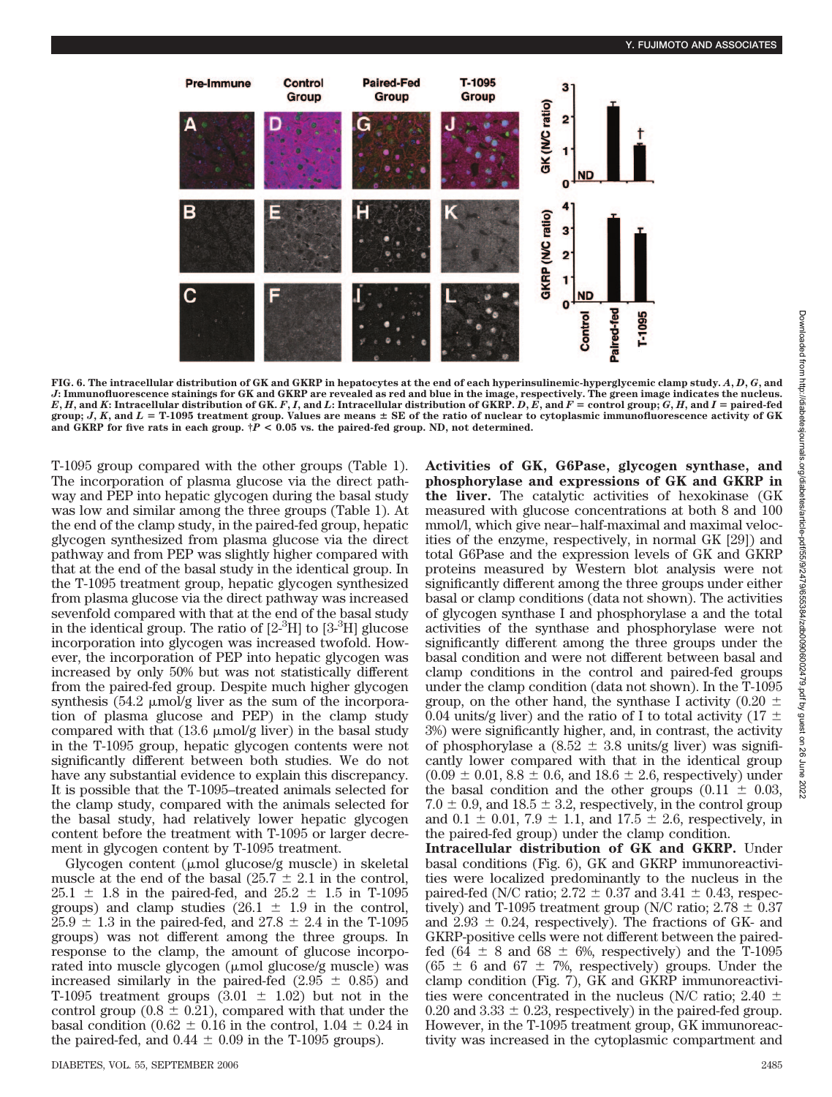

**FIG. 6. The intracellular distribution of GK and GKRP in hepatocytes at the end of each hyperinsulinemic-hyperglycemic clamp study.** *A***,** *D***,** *G***, and** *J***: Immunofluorescence stainings for GK and GKRP are revealed as red and blue in the image, respectively. The green image indicates the nucleus.** E, H, and K: Intracellular distribution of GK. F, I, and L: Intracellular distribution of GKRP. D, E, and F = control group; G, H, and I = paired-fed<br>group; J, K, and L = T-1095 treatment group. Values are means ± SE of t and GKRP for five rats in each group.  $\dot{\uparrow}P < 0.05$  vs. the paired-fed group. ND, not determined.

T-1095 group compared with the other groups (Table 1). The incorporation of plasma glucose via the direct pathway and PEP into hepatic glycogen during the basal study was low and similar among the three groups (Table 1). At the end of the clamp study, in the paired-fed group, hepatic glycogen synthesized from plasma glucose via the direct pathway and from PEP was slightly higher compared with that at the end of the basal study in the identical group. In the T-1095 treatment group, hepatic glycogen synthesized from plasma glucose via the direct pathway was increased sevenfold compared with that at the end of the basal study in the identical group. The ratio of  $[2<sup>3</sup>H]$  to  $[3<sup>3</sup>H]$  glucose incorporation into glycogen was increased twofold. However, the incorporation of PEP into hepatic glycogen was increased by only 50% but was not statistically different from the paired-fed group. Despite much higher glycogen synthesis  $(54.2 \mu m o l/g$  liver as the sum of the incorporation of plasma glucose and PEP) in the clamp study compared with that  $(13.6 \mu \text{mol/g}$  liver) in the basal study in the T-1095 group, hepatic glycogen contents were not significantly different between both studies. We do not have any substantial evidence to explain this discrepancy. It is possible that the T-1095–treated animals selected for the clamp study, compared with the animals selected for the basal study, had relatively lower hepatic glycogen content before the treatment with T-1095 or larger decrement in glycogen content by T-1095 treatment.

Glycogen content ( $\mu$ mol glucose/g muscle) in skeletal muscle at the end of the basal (25.7  $\pm$  2.1 in the control,  $25.1 \pm 1.8$  in the paired-fed, and  $25.2 \pm 1.5$  in T-1095 groups) and clamp studies  $(26.1 \pm 1.9 \text{ in the control},$  $25.9 \pm 1.3$  in the paired-fed, and  $27.8 \pm 2.4$  in the T-1095 groups) was not different among the three groups. In response to the clamp, the amount of glucose incorporated into muscle glycogen ( $\mu$ mol glucose/g muscle) was increased similarly in the paired-fed  $(2.95 \pm 0.85)$  and T-1095 treatment groups  $(3.01 \pm 1.02)$  but not in the control group ( $0.8 \pm 0.21$ ), compared with that under the basal condition (0.62  $\pm$  0.16 in the control, 1.04  $\pm$  0.24 in the paired-fed, and  $0.44 \pm 0.09$  in the T-1095 groups).

**Activities of GK, G6Pase, glycogen synthase, and phosphorylase and expressions of GK and GKRP in the liver.** The catalytic activities of hexokinase (GK measured with glucose concentrations at both 8 and 100 mmol/l, which give near–half-maximal and maximal velocities of the enzyme, respectively, in normal GK [29]) and total G6Pase and the expression levels of GK and GKRP proteins measured by Western blot analysis were not significantly different among the three groups under either basal or clamp conditions (data not shown). The activities of glycogen synthase I and phosphorylase a and the total activities of the synthase and phosphorylase were not significantly different among the three groups under the basal condition and were not different between basal and clamp conditions in the control and paired-fed groups under the clamp condition (data not shown). In the T-1095 group, on the other hand, the synthase I activity (0.20  $\pm$ 0.04 units/g liver) and the ratio of I to total activity (17  $\pm$ 3%) were significantly higher, and, in contrast, the activity of phosphorylase a  $(8.52 \pm 3.8 \text{ units/g liver})$  was significantly lower compared with that in the identical group  $(0.09 \pm 0.01, 8.8 \pm 0.6,$  and  $18.6 \pm 2.6$ , respectively) under the basal condition and the other groups  $(0.11 \pm 0.03,$  $7.0 \pm 0.9$ , and  $18.5 \pm 3.2$ , respectively, in the control group and  $0.1 \pm 0.01$ ,  $7.9 \pm 1.1$ , and  $17.5 \pm 2.6$ , respectively, in the paired-fed group) under the clamp condition.

**Intracellular distribution of GK and GKRP.** Under basal conditions (Fig. 6), GK and GKRP immunoreactivities were localized predominantly to the nucleus in the paired-fed (N/C ratio;  $2.72 \pm 0.37$  and  $3.41 \pm 0.43$ , respectively) and T-1095 treatment group (N/C ratio;  $2.78 \pm 0.37$ and  $2.93 \pm 0.24$ , respectively). The fractions of GK- and GKRP-positive cells were not different between the pairedfed (64  $\pm$  8 and 68  $\pm$  6%, respectively) and the T-1095  $(65 \pm 6 \text{ and } 67 \pm 7\%)$  groups. Under the clamp condition (Fig. 7), GK and GKRP immunoreactivities were concentrated in the nucleus (N/C ratio;  $2.40 \pm$ 0.20 and  $3.33 \pm 0.23$ , respectively) in the paired-fed group. However, in the T-1095 treatment group, GK immunoreactivity was increased in the cytoplasmic compartment and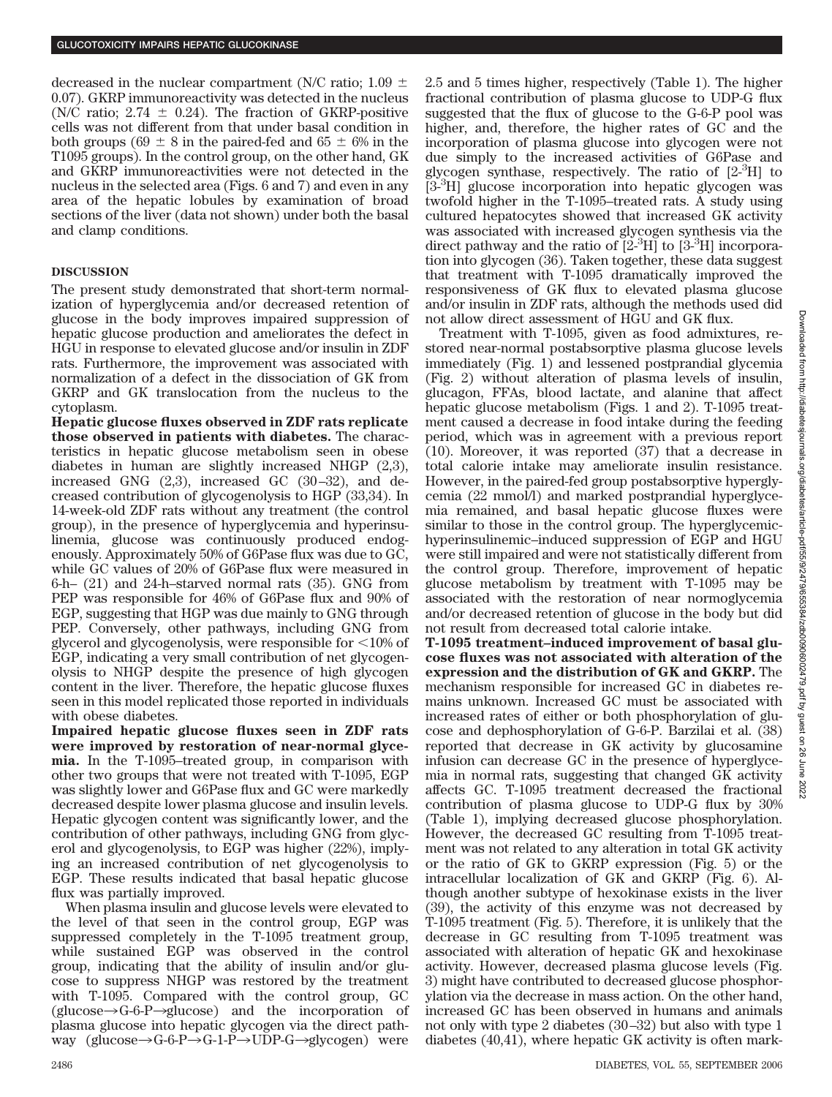decreased in the nuclear compartment (N/C ratio; 1.09  $\pm$ 0.07). GKRP immunoreactivity was detected in the nucleus (N/C ratio;  $2.74 \pm 0.24$ ). The fraction of GKRP-positive cells was not different from that under basal condition in both groups (69  $\pm$  8 in the paired-fed and 65  $\pm$  6% in the T1095 groups). In the control group, on the other hand, GK and GKRP immunoreactivities were not detected in the nucleus in the selected area (Figs. 6 and 7) and even in any area of the hepatic lobules by examination of broad sections of the liver (data not shown) under both the basal and clamp conditions.

## **DISCUSSION**

The present study demonstrated that short-term normalization of hyperglycemia and/or decreased retention of glucose in the body improves impaired suppression of hepatic glucose production and ameliorates the defect in HGU in response to elevated glucose and/or insulin in ZDF rats. Furthermore, the improvement was associated with normalization of a defect in the dissociation of GK from GKRP and GK translocation from the nucleus to the cytoplasm.

**Hepatic glucose fluxes observed in ZDF rats replicate those observed in patients with diabetes.** The characteristics in hepatic glucose metabolism seen in obese diabetes in human are slightly increased NHGP (2,3), increased GNG (2,3), increased GC (30–32), and decreased contribution of glycogenolysis to HGP (33,34). In 14-week-old ZDF rats without any treatment (the control group), in the presence of hyperglycemia and hyperinsulinemia, glucose was continuously produced endogenously. Approximately 50% of G6Pase flux was due to GC, while GC values of 20% of G6Pase flux were measured in 6-h– (21) and 24-h–starved normal rats (35). GNG from PEP was responsible for 46% of G6Pase flux and 90% of EGP, suggesting that HGP was due mainly to GNG through PEP. Conversely, other pathways, including GNG from glycerol and glycogenolysis, were responsible for  $\leq 10\%$  of EGP, indicating a very small contribution of net glycogenolysis to NHGP despite the presence of high glycogen content in the liver. Therefore, the hepatic glucose fluxes seen in this model replicated those reported in individuals with obese diabetes.

**Impaired hepatic glucose fluxes seen in ZDF rats were improved by restoration of near-normal glycemia.** In the T-1095–treated group, in comparison with other two groups that were not treated with T-1095, EGP was slightly lower and G6Pase flux and GC were markedly decreased despite lower plasma glucose and insulin levels. Hepatic glycogen content was significantly lower, and the contribution of other pathways, including GNG from glycerol and glycogenolysis, to EGP was higher (22%), implying an increased contribution of net glycogenolysis to EGP. These results indicated that basal hepatic glucose flux was partially improved.

When plasma insulin and glucose levels were elevated to the level of that seen in the control group, EGP was suppressed completely in the T-1095 treatment group, while sustained EGP was observed in the control group, indicating that the ability of insulin and/or glucose to suppress NHGP was restored by the treatment with T-1095. Compared with the control group, GC  $(glu\cos e \rightarrow G-6-P\rightarrow glucose)$  and the incorporation of plasma glucose into hepatic glycogen via the direct pathway (glucose $\rightarrow$ G-6-P $\rightarrow$ G-1-P $\rightarrow$ UDP-G $\rightarrow$ glycogen) were

2.5 and 5 times higher, respectively (Table 1). The higher fractional contribution of plasma glucose to UDP-G flux suggested that the flux of glucose to the G-6-P pool was higher, and, therefore, the higher rates of GC and the incorporation of plasma glucose into glycogen were not due simply to the increased activities of G6Pase and glycogen synthase, respectively. The ratio of  $[2^{-3}H]$  to [3-<sup>3</sup>H] glucose incorporation into hepatic glycogen was twofold higher in the T-1095–treated rats. A study using cultured hepatocytes showed that increased GK activity was associated with increased glycogen synthesis via the direct pathway and the ratio of  $[2^{3}H]$  to  $[3^{3}H]$  incorporation into glycogen (36). Taken together, these data suggest that treatment with T-1095 dramatically improved the responsiveness of GK flux to elevated plasma glucose and/or insulin in ZDF rats, although the methods used did not allow direct assessment of HGU and GK flux.

Treatment with T-1095, given as food admixtures, restored near-normal postabsorptive plasma glucose levels immediately (Fig. 1) and lessened postprandial glycemia (Fig. 2) without alteration of plasma levels of insulin, glucagon, FFAs, blood lactate, and alanine that affect hepatic glucose metabolism (Figs. 1 and 2). T-1095 treatment caused a decrease in food intake during the feeding period, which was in agreement with a previous report (10). Moreover, it was reported (37) that a decrease in total calorie intake may ameliorate insulin resistance. However, in the paired-fed group postabsorptive hyperglycemia (22 mmol/l) and marked postprandial hyperglycemia remained, and basal hepatic glucose fluxes were similar to those in the control group. The hyperglycemichyperinsulinemic–induced suppression of EGP and HGU were still impaired and were not statistically different from the control group. Therefore, improvement of hepatic glucose metabolism by treatment with T-1095 may be associated with the restoration of near normoglycemia and/or decreased retention of glucose in the body but did not result from decreased total calorie intake.

**T-1095 treatment–induced improvement of basal glucose fluxes was not associated with alteration of the expression and the distribution of GK and GKRP.** The mechanism responsible for increased GC in diabetes remains unknown. Increased GC must be associated with increased rates of either or both phosphorylation of glucose and dephosphorylation of G-6-P. Barzilai et al. (38) reported that decrease in GK activity by glucosamine infusion can decrease GC in the presence of hyperglycemia in normal rats, suggesting that changed GK activity affects GC. T-1095 treatment decreased the fractional contribution of plasma glucose to UDP-G flux by 30% (Table 1), implying decreased glucose phosphorylation. However, the decreased GC resulting from T-1095 treatment was not related to any alteration in total GK activity or the ratio of GK to GKRP expression (Fig. 5) or the intracellular localization of GK and GKRP (Fig. 6). Although another subtype of hexokinase exists in the liver (39), the activity of this enzyme was not decreased by T-1095 treatment (Fig. 5). Therefore, it is unlikely that the decrease in GC resulting from T-1095 treatment was associated with alteration of hepatic GK and hexokinase activity. However, decreased plasma glucose levels (Fig. 3) might have contributed to decreased glucose phosphorylation via the decrease in mass action. On the other hand, increased GC has been observed in humans and animals not only with type 2 diabetes (30–32) but also with type 1 diabetes (40,41), where hepatic GK activity is often mark-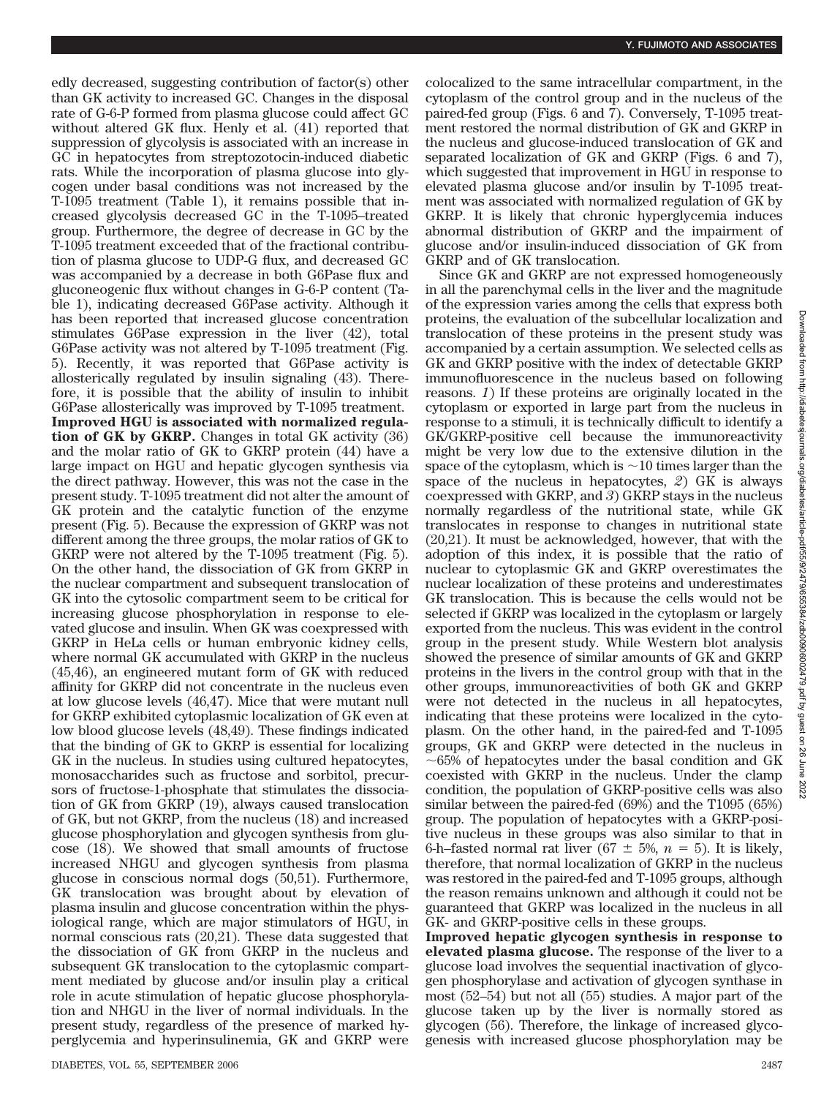edly decreased, suggesting contribution of factor(s) other than GK activity to increased GC. Changes in the disposal rate of G-6-P formed from plasma glucose could affect GC without altered GK flux. Henly et al. (41) reported that suppression of glycolysis is associated with an increase in GC in hepatocytes from streptozotocin-induced diabetic rats. While the incorporation of plasma glucose into glycogen under basal conditions was not increased by the T-1095 treatment (Table 1), it remains possible that increased glycolysis decreased GC in the T-1095–treated group. Furthermore, the degree of decrease in GC by the T-1095 treatment exceeded that of the fractional contribution of plasma glucose to UDP-G flux, and decreased GC was accompanied by a decrease in both G6Pase flux and gluconeogenic flux without changes in G-6-P content (Table 1), indicating decreased G6Pase activity. Although it has been reported that increased glucose concentration stimulates G6Pase expression in the liver (42), total G6Pase activity was not altered by T-1095 treatment (Fig. 5). Recently, it was reported that G6Pase activity is allosterically regulated by insulin signaling (43). Therefore, it is possible that the ability of insulin to inhibit G6Pase allosterically was improved by T-1095 treatment. **Improved HGU is associated with normalized regulation of GK by GKRP.** Changes in total GK activity (36) and the molar ratio of GK to GKRP protein (44) have a large impact on HGU and hepatic glycogen synthesis via the direct pathway. However, this was not the case in the present study. T-1095 treatment did not alter the amount of GK protein and the catalytic function of the enzyme present (Fig. 5). Because the expression of GKRP was not different among the three groups, the molar ratios of GK to GKRP were not altered by the T-1095 treatment (Fig. 5). On the other hand, the dissociation of GK from GKRP in the nuclear compartment and subsequent translocation of GK into the cytosolic compartment seem to be critical for increasing glucose phosphorylation in response to elevated glucose and insulin. When GK was coexpressed with GKRP in HeLa cells or human embryonic kidney cells, where normal GK accumulated with GKRP in the nucleus (45,46), an engineered mutant form of GK with reduced affinity for GKRP did not concentrate in the nucleus even at low glucose levels (46,47). Mice that were mutant null for GKRP exhibited cytoplasmic localization of GK even at low blood glucose levels (48,49). These findings indicated that the binding of GK to GKRP is essential for localizing GK in the nucleus. In studies using cultured hepatocytes, monosaccharides such as fructose and sorbitol, precursors of fructose-1-phosphate that stimulates the dissociation of GK from GKRP (19), always caused translocation of GK, but not GKRP, from the nucleus (18) and increased glucose phosphorylation and glycogen synthesis from glucose (18). We showed that small amounts of fructose increased NHGU and glycogen synthesis from plasma glucose in conscious normal dogs (50,51). Furthermore, GK translocation was brought about by elevation of plasma insulin and glucose concentration within the physiological range, which are major stimulators of HGU, in normal conscious rats (20,21). These data suggested that the dissociation of GK from GKRP in the nucleus and subsequent GK translocation to the cytoplasmic compartment mediated by glucose and/or insulin play a critical role in acute stimulation of hepatic glucose phosphorylation and NHGU in the liver of normal individuals. In the present study, regardless of the presence of marked hyperglycemia and hyperinsulinemia, GK and GKRP were

colocalized to the same intracellular compartment, in the cytoplasm of the control group and in the nucleus of the paired-fed group (Figs. 6 and 7). Conversely, T-1095 treatment restored the normal distribution of GK and GKRP in the nucleus and glucose-induced translocation of GK and separated localization of GK and GKRP (Figs. 6 and 7), which suggested that improvement in HGU in response to elevated plasma glucose and/or insulin by T-1095 treatment was associated with normalized regulation of GK by GKRP. It is likely that chronic hyperglycemia induces abnormal distribution of GKRP and the impairment of glucose and/or insulin-induced dissociation of GK from GKRP and of GK translocation.

Since GK and GKRP are not expressed homogeneously in all the parenchymal cells in the liver and the magnitude of the expression varies among the cells that express both proteins, the evaluation of the subcellular localization and translocation of these proteins in the present study was accompanied by a certain assumption. We selected cells as GK and GKRP positive with the index of detectable GKRP immunofluorescence in the nucleus based on following reasons. *1*) If these proteins are originally located in the cytoplasm or exported in large part from the nucleus in response to a stimuli, it is technically difficult to identify a GK/GKRP-positive cell because the immunoreactivity might be very low due to the extensive dilution in the space of the cytoplasm, which is  $\sim$  10 times larger than the space of the nucleus in hepatocytes, *2*) GK is always coexpressed with GKRP, and *3*) GKRP stays in the nucleus normally regardless of the nutritional state, while GK translocates in response to changes in nutritional state (20,21). It must be acknowledged, however, that with the adoption of this index, it is possible that the ratio of nuclear to cytoplasmic GK and GKRP overestimates the nuclear localization of these proteins and underestimates GK translocation. This is because the cells would not be selected if GKRP was localized in the cytoplasm or largely exported from the nucleus. This was evident in the control group in the present study. While Western blot analysis showed the presence of similar amounts of GK and GKRP proteins in the livers in the control group with that in the other groups, immunoreactivities of both GK and GKRP were not detected in the nucleus in all hepatocytes, indicating that these proteins were localized in the cytoplasm. On the other hand, in the paired-fed and T-1095 groups, GK and GKRP were detected in the nucleus in  $\sim$  65% of hepatocytes under the basal condition and GK coexisted with GKRP in the nucleus. Under the clamp condition, the population of GKRP-positive cells was also similar between the paired-fed (69%) and the T1095 (65%) group. The population of hepatocytes with a GKRP-positive nucleus in these groups was also similar to that in 6-h–fasted normal rat liver (67  $\pm$  5%,  $n = 5$ ). It is likely, therefore, that normal localization of GKRP in the nucleus was restored in the paired-fed and T-1095 groups, although the reason remains unknown and although it could not be guaranteed that GKRP was localized in the nucleus in all GK- and GKRP-positive cells in these groups.

**Improved hepatic glycogen synthesis in response to elevated plasma glucose.** The response of the liver to a glucose load involves the sequential inactivation of glycogen phosphorylase and activation of glycogen synthase in most (52–54) but not all (55) studies. A major part of the glucose taken up by the liver is normally stored as glycogen (56). Therefore, the linkage of increased glycogenesis with increased glucose phosphorylation may be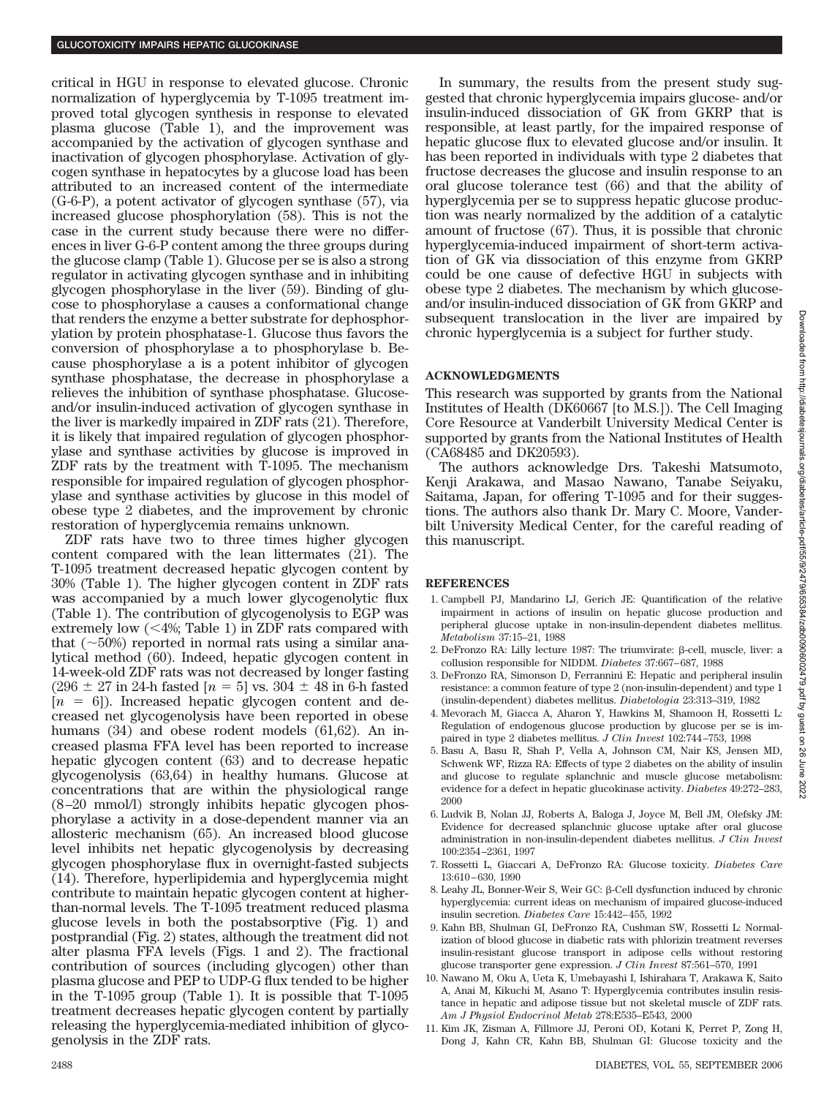critical in HGU in response to elevated glucose. Chronic normalization of hyperglycemia by T-1095 treatment improved total glycogen synthesis in response to elevated plasma glucose (Table 1), and the improvement was accompanied by the activation of glycogen synthase and inactivation of glycogen phosphorylase. Activation of glycogen synthase in hepatocytes by a glucose load has been attributed to an increased content of the intermediate (G-6-P), a potent activator of glycogen synthase (57), via increased glucose phosphorylation (58). This is not the case in the current study because there were no differences in liver G-6-P content among the three groups during the glucose clamp (Table 1). Glucose per se is also a strong regulator in activating glycogen synthase and in inhibiting glycogen phosphorylase in the liver (59). Binding of glucose to phosphorylase a causes a conformational change that renders the enzyme a better substrate for dephosphorylation by protein phosphatase-1. Glucose thus favors the conversion of phosphorylase a to phosphorylase b. Because phosphorylase a is a potent inhibitor of glycogen synthase phosphatase, the decrease in phosphorylase a relieves the inhibition of synthase phosphatase. Glucoseand/or insulin-induced activation of glycogen synthase in the liver is markedly impaired in ZDF rats (21). Therefore, it is likely that impaired regulation of glycogen phosphorylase and synthase activities by glucose is improved in ZDF rats by the treatment with T-1095. The mechanism responsible for impaired regulation of glycogen phosphorylase and synthase activities by glucose in this model of obese type 2 diabetes, and the improvement by chronic restoration of hyperglycemia remains unknown.

ZDF rats have two to three times higher glycogen content compared with the lean littermates (21). The T-1095 treatment decreased hepatic glycogen content by 30% (Table 1). The higher glycogen content in ZDF rats was accompanied by a much lower glycogenolytic flux (Table 1). The contribution of glycogenolysis to EGP was extremely low  $(<\!\!4\!\%$ ; Table 1) in ZDF rats compared with that  $(\sim 50\%)$  reported in normal rats using a similar analytical method (60). Indeed, hepatic glycogen content in 14-week-old ZDF rats was not decreased by longer fasting  $(296 \pm 27 \text{ in } 24\text{-}h \text{ fasted } [n = 5] \text{ vs. } 304 \pm 48 \text{ in } 6\text{-}h \text{ fasted}$  $[n = 6]$ ). Increased hepatic glycogen content and decreased net glycogenolysis have been reported in obese humans (34) and obese rodent models (61,62). An increased plasma FFA level has been reported to increase hepatic glycogen content (63) and to decrease hepatic glycogenolysis (63,64) in healthy humans. Glucose at concentrations that are within the physiological range (8–20 mmol/l) strongly inhibits hepatic glycogen phosphorylase a activity in a dose-dependent manner via an allosteric mechanism (65). An increased blood glucose level inhibits net hepatic glycogenolysis by decreasing glycogen phosphorylase flux in overnight-fasted subjects (14). Therefore, hyperlipidemia and hyperglycemia might contribute to maintain hepatic glycogen content at higherthan-normal levels. The T-1095 treatment reduced plasma glucose levels in both the postabsorptive (Fig. 1) and postprandial (Fig. 2) states, although the treatment did not alter plasma FFA levels (Figs. 1 and 2). The fractional contribution of sources (including glycogen) other than plasma glucose and PEP to UDP-G flux tended to be higher in the T-1095 group (Table 1). It is possible that T-1095 treatment decreases hepatic glycogen content by partially releasing the hyperglycemia-mediated inhibition of glycogenolysis in the ZDF rats.

In summary, the results from the present study suggested that chronic hyperglycemia impairs glucose- and/or insulin-induced dissociation of GK from GKRP that is responsible, at least partly, for the impaired response of hepatic glucose flux to elevated glucose and/or insulin. It has been reported in individuals with type 2 diabetes that fructose decreases the glucose and insulin response to an oral glucose tolerance test (66) and that the ability of hyperglycemia per se to suppress hepatic glucose production was nearly normalized by the addition of a catalytic amount of fructose (67). Thus, it is possible that chronic hyperglycemia-induced impairment of short-term activation of GK via dissociation of this enzyme from GKRP could be one cause of defective HGU in subjects with obese type 2 diabetes. The mechanism by which glucoseand/or insulin-induced dissociation of GK from GKRP and subsequent translocation in the liver are impaired by chronic hyperglycemia is a subject for further study.

### **ACKNOWLEDGMENTS**

This research was supported by grants from the National Institutes of Health (DK60667 [to M.S.]). The Cell Imaging Core Resource at Vanderbilt University Medical Center is supported by grants from the National Institutes of Health (CA68485 and DK20593).

The authors acknowledge Drs. Takeshi Matsumoto, Kenji Arakawa, and Masao Nawano, Tanabe Seiyaku, Saitama, Japan, for offering T-1095 and for their suggestions. The authors also thank Dr. Mary C. Moore, Vanderbilt University Medical Center, for the careful reading of this manuscript.

#### **REFERENCES**

- 1. Campbell PJ, Mandarino LJ, Gerich JE: Quantification of the relative impairment in actions of insulin on hepatic glucose production and peripheral glucose uptake in non-insulin-dependent diabetes mellitus. *Metabolism* 37:15–21, 1988
- 2. DeFronzo RA: Lilly lecture 1987: The triumvirate:  $\beta$ -cell, muscle, liver: a collusion responsible for NIDDM. *Diabetes* 37:667–687, 1988
- 3. DeFronzo RA, Simonson D, Ferrannini E: Hepatic and peripheral insulin resistance: a common feature of type 2 (non-insulin-dependent) and type 1 (insulin-dependent) diabetes mellitus. *Diabetologia* 23:313–319, 1982
- 4. Mevorach M, Giacca A, Aharon Y, Hawkins M, Shamoon H, Rossetti L: Regulation of endogenous glucose production by glucose per se is impaired in type 2 diabetes mellitus. *J Clin Invest* 102:744–753, 1998
- 5. Basu A, Basu R, Shah P, Vella A, Johnson CM, Nair KS, Jensen MD, Schwenk WF, Rizza RA: Effects of type 2 diabetes on the ability of insulin and glucose to regulate splanchnic and muscle glucose metabolism: evidence for a defect in hepatic glucokinase activity. *Diabetes* 49:272–283, 2000
- 6. Ludvik B, Nolan JJ, Roberts A, Baloga J, Joyce M, Bell JM, Olefsky JM: Evidence for decreased splanchnic glucose uptake after oral glucose administration in non-insulin-dependent diabetes mellitus. *J Clin Invest* 100:2354–2361, 1997
- 7. Rossetti L, Giaccari A, DeFronzo RA: Glucose toxicity. *Diabetes Care* 13:610–630, 1990
- 8. Leahy JL, Bonner-Weir S, Weir GC: β-Cell dysfunction induced by chronic hyperglycemia: current ideas on mechanism of impaired glucose-induced insulin secretion. *Diabetes Care* 15:442–455, 1992
- 9. Kahn BB, Shulman GI, DeFronzo RA, Cushman SW, Rossetti L: Normalization of blood glucose in diabetic rats with phlorizin treatment reverses insulin-resistant glucose transport in adipose cells without restoring glucose transporter gene expression. *J Clin Invest* 87:561–570, 1991
- 10. Nawano M, Oku A, Ueta K, Umebayashi I, Ishirahara T, Arakawa K, Saito A, Anai M, Kikuchi M, Asano T: Hyperglycemia contributes insulin resistance in hepatic and adipose tissue but not skeletal muscle of ZDF rats. *Am J Physiol Endocrinol Metab* 278:E535–E543, 2000
- 11. Kim JK, Zisman A, Fillmore JJ, Peroni OD, Kotani K, Perret P, Zong H, Dong J, Kahn CR, Kahn BB, Shulman GI: Glucose toxicity and the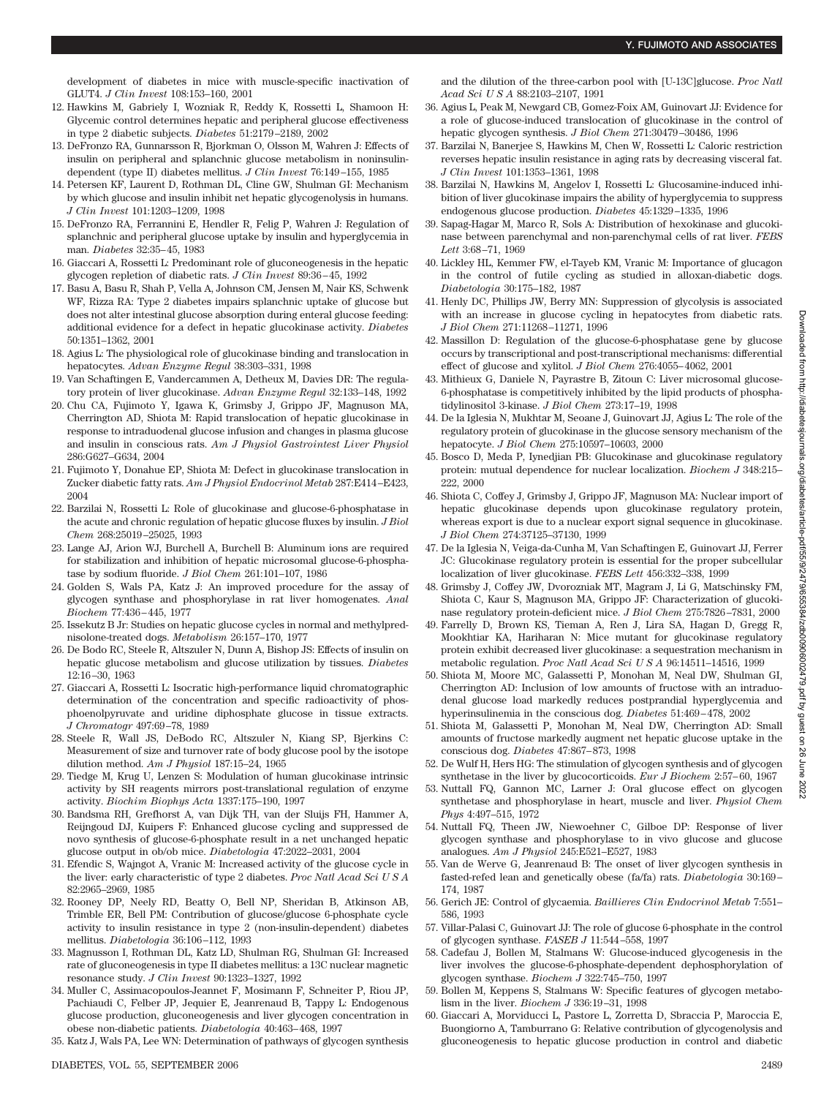development of diabetes in mice with muscle-specific inactivation of GLUT4. *J Clin Invest* 108:153–160, 2001

- 12. Hawkins M, Gabriely I, Wozniak R, Reddy K, Rossetti L, Shamoon H: Glycemic control determines hepatic and peripheral glucose effectiveness in type 2 diabetic subjects. *Diabetes* 51:2179–2189, 2002
- 13. DeFronzo RA, Gunnarsson R, Bjorkman O, Olsson M, Wahren J: Effects of insulin on peripheral and splanchnic glucose metabolism in noninsulindependent (type II) diabetes mellitus. *J Clin Invest* 76:149–155, 1985
- 14. Petersen KF, Laurent D, Rothman DL, Cline GW, Shulman GI: Mechanism by which glucose and insulin inhibit net hepatic glycogenolysis in humans. *J Clin Invest* 101:1203–1209, 1998
- 15. DeFronzo RA, Ferrannini E, Hendler R, Felig P, Wahren J: Regulation of splanchnic and peripheral glucose uptake by insulin and hyperglycemia in man. *Diabetes* 32:35–45, 1983
- 16. Giaccari A, Rossetti L: Predominant role of gluconeogenesis in the hepatic glycogen repletion of diabetic rats. *J Clin Invest* 89:36–45, 1992
- 17. Basu A, Basu R, Shah P, Vella A, Johnson CM, Jensen M, Nair KS, Schwenk WF, Rizza RA: Type 2 diabetes impairs splanchnic uptake of glucose but does not alter intestinal glucose absorption during enteral glucose feeding: additional evidence for a defect in hepatic glucokinase activity. *Diabetes* 50:1351–1362, 2001
- 18. Agius L: The physiological role of glucokinase binding and translocation in hepatocytes. *Advan Enzyme Regul* 38:303–331, 1998
- 19. Van Schaftingen E, Vandercammen A, Detheux M, Davies DR: The regulatory protein of liver glucokinase. *Advan Enzyme Regul* 32:133–148, 1992
- 20. Chu CA, Fujimoto Y, Igawa K, Grimsby J, Grippo JF, Magnuson MA, Cherrington AD, Shiota M: Rapid translocation of hepatic glucokinase in response to intraduodenal glucose infusion and changes in plasma glucose and insulin in conscious rats. *Am J Physiol Gastrointest Liver Physiol* 286:G627–G634, 2004
- 21. Fujimoto Y, Donahue EP, Shiota M: Defect in glucokinase translocation in Zucker diabetic fatty rats. *Am J Physiol Endocrinol Metab* 287:E414–E423, 2004
- 22. Barzilai N, Rossetti L: Role of glucokinase and glucose-6-phosphatase in the acute and chronic regulation of hepatic glucose fluxes by insulin. *J Biol Chem* 268:25019–25025, 1993
- 23. Lange AJ, Arion WJ, Burchell A, Burchell B: Aluminum ions are required for stabilization and inhibition of hepatic microsomal glucose-6-phosphatase by sodium fluoride. *J Biol Chem* 261:101–107, 1986
- 24. Golden S, Wals PA, Katz J: An improved procedure for the assay of glycogen synthase and phosphorylase in rat liver homogenates. *Anal Biochem* 77:436–445, 1977
- 25. Issekutz B Jr: Studies on hepatic glucose cycles in normal and methylprednisolone-treated dogs. *Metabolism* 26:157–170, 1977
- 26. De Bodo RC, Steele R, Altszuler N, Dunn A, Bishop JS: Effects of insulin on hepatic glucose metabolism and glucose utilization by tissues. *Diabetes* 12:16–30, 1963
- 27. Giaccari A, Rossetti L: Isocratic high-performance liquid chromatographic determination of the concentration and specific radioactivity of phosphoenolpyruvate and uridine diphosphate glucose in tissue extracts. *J Chromatogr* 497:69–78, 1989
- 28. Steele R, Wall JS, DeBodo RC, Altszuler N, Kiang SP, Bjerkins C: Measurement of size and turnover rate of body glucose pool by the isotope dilution method. *Am J Physiol* 187:15–24, 1965
- 29. Tiedge M, Krug U, Lenzen S: Modulation of human glucokinase intrinsic activity by SH reagents mirrors post-translational regulation of enzyme activity. *Biochim Biophys Acta* 1337:175–190, 1997
- 30. Bandsma RH, Grefhorst A, van Dijk TH, van der Sluijs FH, Hammer A, Reijngoud DJ, Kuipers F: Enhanced glucose cycling and suppressed de novo synthesis of glucose-6-phosphate result in a net unchanged hepatic glucose output in ob/ob mice. *Diabetologia* 47:2022–2031, 2004
- 31. Efendic S, Wajngot A, Vranic M: Increased activity of the glucose cycle in the liver: early characteristic of type 2 diabetes. *Proc Natl Acad SciUSA* 82:2965–2969, 1985
- 32. Rooney DP, Neely RD, Beatty O, Bell NP, Sheridan B, Atkinson AB, Trimble ER, Bell PM: Contribution of glucose/glucose 6-phosphate cycle activity to insulin resistance in type 2 (non-insulin-dependent) diabetes mellitus. *Diabetologia* 36:106–112, 1993
- 33. Magnusson I, Rothman DL, Katz LD, Shulman RG, Shulman GI: Increased rate of gluconeogenesis in type II diabetes mellitus: a 13C nuclear magnetic resonance study. *J Clin Invest* 90:1323–1327, 1992
- 34. Muller C, Assimacopoulos-Jeannet F, Mosimann F, Schneiter P, Riou JP, Pachiaudi C, Felber JP, Jequier E, Jeanrenaud B, Tappy L: Endogenous glucose production, gluconeogenesis and liver glycogen concentration in obese non-diabetic patients. *Diabetologia* 40:463–468, 1997
- 35. Katz J, Wals PA, Lee WN: Determination of pathways of glycogen synthesis

and the dilution of the three-carbon pool with [U-13C]glucose. *Proc Natl Acad SciUSA* 88:2103–2107, 1991

- 36. Agius L, Peak M, Newgard CB, Gomez-Foix AM, Guinovart JJ: Evidence for a role of glucose-induced translocation of glucokinase in the control of hepatic glycogen synthesis. *J Biol Chem* 271:30479–30486, 1996
- 37. Barzilai N, Banerjee S, Hawkins M, Chen W, Rossetti L: Caloric restriction reverses hepatic insulin resistance in aging rats by decreasing visceral fat. *J Clin Invest* 101:1353–1361, 1998
- 38. Barzilai N, Hawkins M, Angelov I, Rossetti L: Glucosamine-induced inhibition of liver glucokinase impairs the ability of hyperglycemia to suppress endogenous glucose production. *Diabetes* 45:1329–1335, 1996
- 39. Sapag-Hagar M, Marco R, Sols A: Distribution of hexokinase and glucokinase between parenchymal and non-parenchymal cells of rat liver. *FEBS Lett* 3:68–71, 1969
- 40. Lickley HL, Kemmer FW, el-Tayeb KM, Vranic M: Importance of glucagon in the control of futile cycling as studied in alloxan-diabetic dogs. *Diabetologia* 30:175–182, 1987
- 41. Henly DC, Phillips JW, Berry MN: Suppression of glycolysis is associated with an increase in glucose cycling in hepatocytes from diabetic rats. *J Biol Chem* 271:11268–11271, 1996
- 42. Massillon D: Regulation of the glucose-6-phosphatase gene by glucose occurs by transcriptional and post-transcriptional mechanisms: differential effect of glucose and xylitol. *J Biol Chem* 276:4055–4062, 2001
- 43. Mithieux G, Daniele N, Payrastre B, Zitoun C: Liver microsomal glucose-6-phosphatase is competitively inhibited by the lipid products of phosphatidylinositol 3-kinase. *J Biol Chem* 273:17–19, 1998
- 44. De la Iglesia N, Mukhtar M, Seoane J, Guinovart JJ, Agius L: The role of the regulatory protein of glucokinase in the glucose sensory mechanism of the hepatocyte. *J Biol Chem* 275:10597–10603, 2000
- 45. Bosco D, Meda P, Iynedjian PB: Glucokinase and glucokinase regulatory protein: mutual dependence for nuclear localization. *Biochem J* 348:215– 222, 2000
- 46. Shiota C, Coffey J, Grimsby J, Grippo JF, Magnuson MA: Nuclear import of hepatic glucokinase depends upon glucokinase regulatory protein, whereas export is due to a nuclear export signal sequence in glucokinase. *J Biol Chem* 274:37125–37130, 1999
- 47. De la Iglesia N, Veiga-da-Cunha M, Van Schaftingen E, Guinovart JJ, Ferrer JC: Glucokinase regulatory protein is essential for the proper subcellular localization of liver glucokinase. *FEBS Lett* 456:332–338, 1999
- 48. Grimsby J, Coffey JW, Dvorozniak MT, Magram J, Li G, Matschinsky FM, Shiota C, Kaur S, Magnuson MA, Grippo JF: Characterization of glucokinase regulatory protein-deficient mice. *J Biol Chem* 275:7826–7831, 2000
- 49. Farrelly D, Brown KS, Tieman A, Ren J, Lira SA, Hagan D, Gregg R, Mookhtiar KA, Hariharan N: Mice mutant for glucokinase regulatory protein exhibit decreased liver glucokinase: a sequestration mechanism in metabolic regulation. *Proc Natl Acad SciUSA* 96:14511–14516, 1999
- 50. Shiota M, Moore MC, Galassetti P, Monohan M, Neal DW, Shulman GI, Cherrington AD: Inclusion of low amounts of fructose with an intraduodenal glucose load markedly reduces postprandial hyperglycemia and hyperinsulinemia in the conscious dog. *Diabetes* 51:469–478, 2002
- 51. Shiota M, Galassetti P, Monohan M, Neal DW, Cherrington AD: Small amounts of fructose markedly augment net hepatic glucose uptake in the conscious dog. *Diabetes* 47:867–873, 1998
- 52. De Wulf H, Hers HG: The stimulation of glycogen synthesis and of glycogen synthetase in the liver by glucocorticoids. *Eur J Biochem* 2:57–60, 1967
- 53. Nuttall FQ, Gannon MC, Larner J: Oral glucose effect on glycogen synthetase and phosphorylase in heart, muscle and liver. *Physiol Chem Phys* 4:497–515, 1972
- 54. Nuttall FQ, Theen JW, Niewoehner C, Gilboe DP: Response of liver glycogen synthase and phosphorylase to in vivo glucose and glucose analogues. *Am J Physiol* 245:E521–E527, 1983
- 55. Van de Werve G, Jeanrenaud B: The onset of liver glycogen synthesis in fasted-refed lean and genetically obese (fa/fa) rats. *Diabetologia* 30:169– 174, 1987
- 56. Gerich JE: Control of glycaemia. *Baillieres Clin Endocrinol Metab* 7:551– 586, 1993
- 57. Villar-Palasi C, Guinovart JJ: The role of glucose 6-phosphate in the control of glycogen synthase. *FASEB J* 11:544–558, 1997
- 58. Cadefau J, Bollen M, Stalmans W: Glucose-induced glycogenesis in the liver involves the glucose-6-phosphate-dependent dephosphorylation of glycogen synthase. *Biochem J* 322:745–750, 1997
- 59. Bollen M, Keppens S, Stalmans W: Specific features of glycogen metabolism in the liver. *Biochem J* 336:19–31, 1998
- 60. Giaccari A, Morviducci L, Pastore L, Zorretta D, Sbraccia P, Maroccia E, Buongiorno A, Tamburrano G: Relative contribution of glycogenolysis and gluconeogenesis to hepatic glucose production in control and diabetic